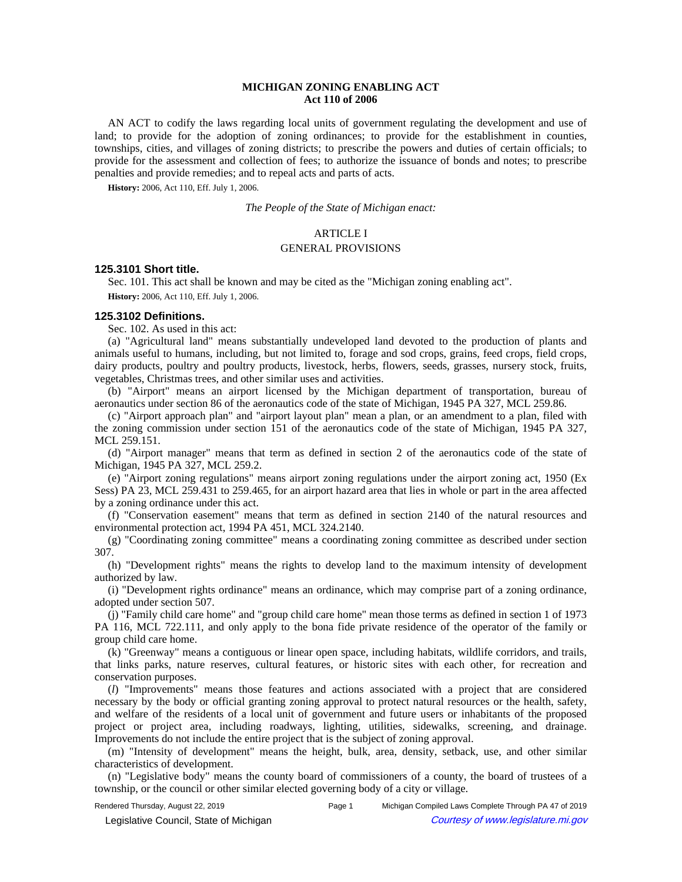# **MICHIGAN ZONING ENABLING ACT Act 110 of 2006**

AN ACT to codify the laws regarding local units of government regulating the development and use of land; to provide for the adoption of zoning ordinances; to provide for the establishment in counties, townships, cities, and villages of zoning districts; to prescribe the powers and duties of certain officials; to provide for the assessment and collection of fees; to authorize the issuance of bonds and notes; to prescribe penalties and provide remedies; and to repeal acts and parts of acts.

**History:** 2006, Act 110, Eff. July 1, 2006.

*The People of the State of Michigan enact:*

# ARTICLE I

### GENERAL PROVISIONS

# **125.3101 Short title.**

Sec. 101. This act shall be known and may be cited as the "Michigan zoning enabling act". **History:** 2006, Act 110, Eff. July 1, 2006.

### **125.3102 Definitions.**

Sec. 102. As used in this act:

(a) "Agricultural land" means substantially undeveloped land devoted to the production of plants and animals useful to humans, including, but not limited to, forage and sod crops, grains, feed crops, field crops, dairy products, poultry and poultry products, livestock, herbs, flowers, seeds, grasses, nursery stock, fruits, vegetables, Christmas trees, and other similar uses and activities.

(b) "Airport" means an airport licensed by the Michigan department of transportation, bureau of aeronautics under section 86 of the aeronautics code of the state of Michigan, 1945 PA 327, MCL 259.86.

(c) "Airport approach plan" and "airport layout plan" mean a plan, or an amendment to a plan, filed with the zoning commission under section 151 of the aeronautics code of the state of Michigan, 1945 PA 327, MCL 259.151.

(d) "Airport manager" means that term as defined in section 2 of the aeronautics code of the state of Michigan, 1945 PA 327, MCL 259.2.

(e) "Airport zoning regulations" means airport zoning regulations under the airport zoning act, 1950 (Ex Sess) PA 23, MCL 259.431 to 259.465, for an airport hazard area that lies in whole or part in the area affected by a zoning ordinance under this act.

(f) "Conservation easement" means that term as defined in section 2140 of the natural resources and environmental protection act, 1994 PA 451, MCL 324.2140.

(g) "Coordinating zoning committee" means a coordinating zoning committee as described under section 307.

(h) "Development rights" means the rights to develop land to the maximum intensity of development authorized by law.

(i) "Development rights ordinance" means an ordinance, which may comprise part of a zoning ordinance, adopted under section 507.

(j) "Family child care home" and "group child care home" mean those terms as defined in section 1 of 1973 PA 116, MCL 722.111, and only apply to the bona fide private residence of the operator of the family or group child care home.

(k) "Greenway" means a contiguous or linear open space, including habitats, wildlife corridors, and trails, that links parks, nature reserves, cultural features, or historic sites with each other, for recreation and conservation purposes.

(*l*) "Improvements" means those features and actions associated with a project that are considered necessary by the body or official granting zoning approval to protect natural resources or the health, safety, and welfare of the residents of a local unit of government and future users or inhabitants of the proposed project or project area, including roadways, lighting, utilities, sidewalks, screening, and drainage. Improvements do not include the entire project that is the subject of zoning approval.

(m) "Intensity of development" means the height, bulk, area, density, setback, use, and other similar characteristics of development.

(n) "Legislative body" means the county board of commissioners of a county, the board of trustees of a township, or the council or other similar elected governing body of a city or village.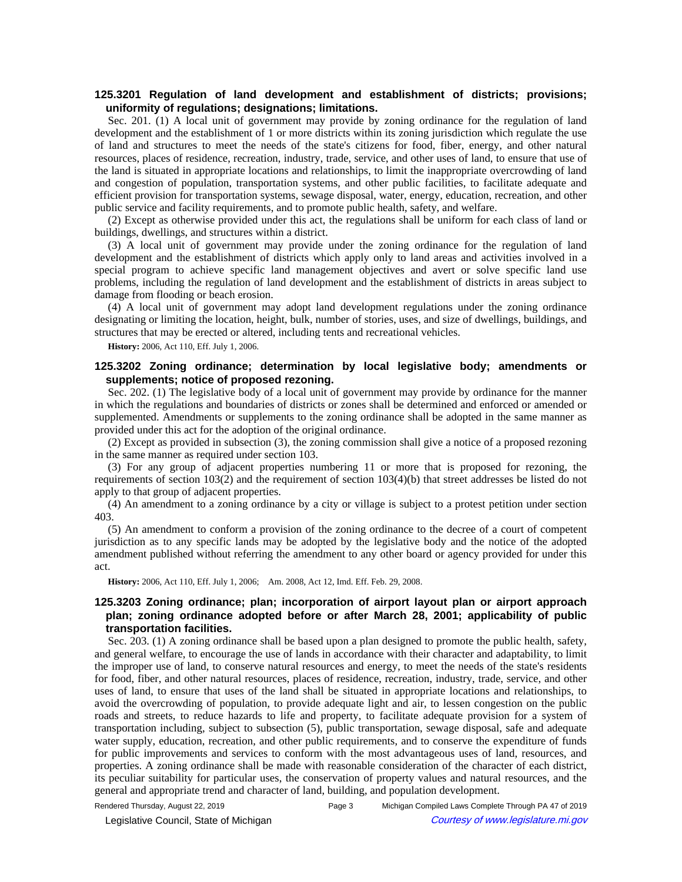# **125.3201 Regulation of land development and establishment of districts; provisions; uniformity of regulations; designations; limitations.**

Sec. 201. (1) A local unit of government may provide by zoning ordinance for the regulation of land development and the establishment of 1 or more districts within its zoning jurisdiction which regulate the use of land and structures to meet the needs of the state's citizens for food, fiber, energy, and other natural resources, places of residence, recreation, industry, trade, service, and other uses of land, to ensure that use of the land is situated in appropriate locations and relationships, to limit the inappropriate overcrowding of land and congestion of population, transportation systems, and other public facilities, to facilitate adequate and efficient provision for transportation systems, sewage disposal, water, energy, education, recreation, and other public service and facility requirements, and to promote public health, safety, and welfare.

(2) Except as otherwise provided under this act, the regulations shall be uniform for each class of land or buildings, dwellings, and structures within a district.

(3) A local unit of government may provide under the zoning ordinance for the regulation of land development and the establishment of districts which apply only to land areas and activities involved in a special program to achieve specific land management objectives and avert or solve specific land use problems, including the regulation of land development and the establishment of districts in areas subject to damage from flooding or beach erosion.

(4) A local unit of government may adopt land development regulations under the zoning ordinance designating or limiting the location, height, bulk, number of stories, uses, and size of dwellings, buildings, and structures that may be erected or altered, including tents and recreational vehicles.

**History:** 2006, Act 110, Eff. July 1, 2006.

# **125.3202 Zoning ordinance; determination by local legislative body; amendments or supplements; notice of proposed rezoning.**

Sec. 202. (1) The legislative body of a local unit of government may provide by ordinance for the manner in which the regulations and boundaries of districts or zones shall be determined and enforced or amended or supplemented. Amendments or supplements to the zoning ordinance shall be adopted in the same manner as provided under this act for the adoption of the original ordinance.

(2) Except as provided in subsection (3), the zoning commission shall give a notice of a proposed rezoning in the same manner as required under section 103.

(3) For any group of adjacent properties numbering 11 or more that is proposed for rezoning, the requirements of section 103(2) and the requirement of section 103(4)(b) that street addresses be listed do not apply to that group of adjacent properties.

(4) An amendment to a zoning ordinance by a city or village is subject to a protest petition under section 403.

(5) An amendment to conform a provision of the zoning ordinance to the decree of a court of competent jurisdiction as to any specific lands may be adopted by the legislative body and the notice of the adopted amendment published without referring the amendment to any other board or agency provided for under this act.

History: 2006, Act 110, Eff. July 1, 2006;- Am. 2008, Act 12, Imd. Eff. Feb. 29, 2008.

# **125.3203 Zoning ordinance; plan; incorporation of airport layout plan or airport approach plan; zoning ordinance adopted before or after March 28, 2001; applicability of public transportation facilities.**

Sec. 203. (1) A zoning ordinance shall be based upon a plan designed to promote the public health, safety, and general welfare, to encourage the use of lands in accordance with their character and adaptability, to limit the improper use of land, to conserve natural resources and energy, to meet the needs of the state's residents for food, fiber, and other natural resources, places of residence, recreation, industry, trade, service, and other uses of land, to ensure that uses of the land shall be situated in appropriate locations and relationships, to avoid the overcrowding of population, to provide adequate light and air, to lessen congestion on the public roads and streets, to reduce hazards to life and property, to facilitate adequate provision for a system of transportation including, subject to subsection (5), public transportation, sewage disposal, safe and adequate water supply, education, recreation, and other public requirements, and to conserve the expenditure of funds for public improvements and services to conform with the most advantageous uses of land, resources, and properties. A zoning ordinance shall be made with reasonable consideration of the character of each district, its peculiar suitability for particular uses, the conservation of property values and natural resources, and the general and appropriate trend and character of land, building, and population development.

Rendered Thursday, August 22, 2019 Page 3 Michigan Compiled Laws Complete Through PA 47 of 2019 Legislative Council, State of Michigan Courtesy of www.legislature.mi.gov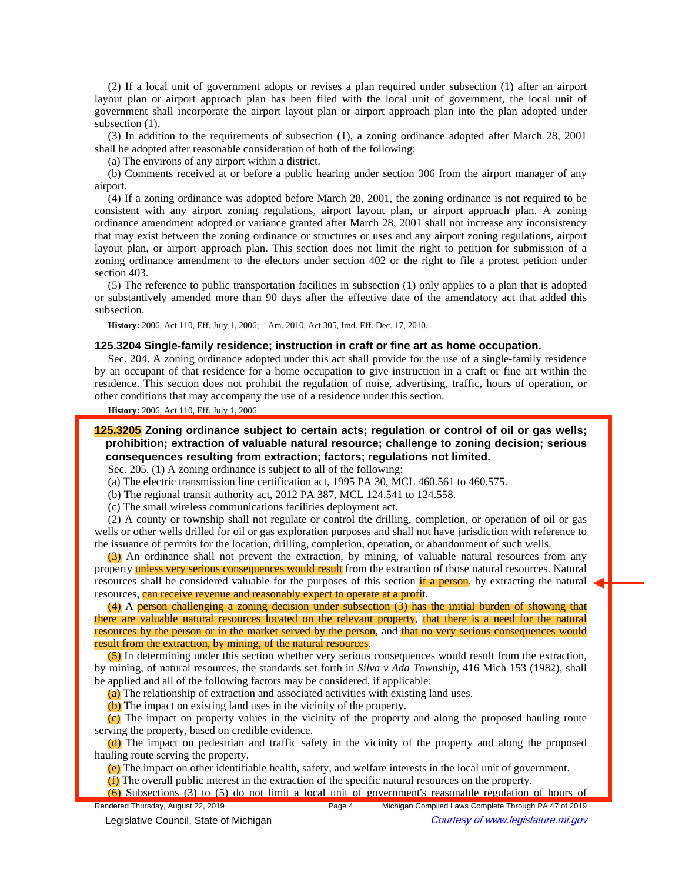(2) If a local unit of government adopts or revises a plan required under subsection (1) after an airport layout plan or airport approach plan has been filed with the local unit of government, the local unit of government shall incorporate the airport layout plan or airport approach plan into the plan adopted under subsection  $(1)$ .

(3) In addition to the requirements of subsection (1), a zoning ordinance adopted after March 28, 2001 shall be adopted after reasonable consideration of both of the following:

(a) The environs of any airport within a district.

(b) Comments received at or before a public hearing under section 306 from the airport manager of any airport.

(4) If a zoning ordinance was adopted before March 28, 2001, the zoning ordinance is not required to be consistent with any airport zoning regulations, airport layout plan, or airport approach plan. A zoning ordinance amendment adopted or variance granted after March 28, 2001 shall not increase any inconsistency that may exist between the zoning ordinance or structures or uses and any airport zoning regulations, airport layout plan, or airport approach plan. This section does not limit the right to petition for submission of a zoning ordinance amendment to the electors under section 402 or the right to file a protest petition under section 403.

(5) The reference to public transportation facilities in subsection (1) only applies to a plan that is adopted or substantively amended more than 90 days after the effective date of the amendatory act that added this subsection.

History: 2006, Act 110, Eff. July 1, 2006;—Am. 2010, Act 305, Imd. Eff. Dec. 17, 2010.

### **125.3204 Single-family residence; instruction in craft or fine art as home occupation.**

Sec. 204. A zoning ordinance adopted under this act shall provide for the use of a single-family residence by an occupant of that residence for a home occupation to give instruction in a craft or fine art within the residence. This section does not prohibit the regulation of noise, advertising, traffic, hours of operation, or other conditions that may accompany the use of a residence under this section.

## **History:** 2006, Act 110, Eff. July 1, 2006.

**125.3205 Zoning ordinance subject to certain acts; regulation or control of oil or gas wells; prohibition; extraction of valuable natural resource; challenge to zoning decision; serious consequences resulting from extraction; factors; regulations not limited.**

Sec. 205. (1) A zoning ordinance is subject to all of the following:

(a) The electric transmission line certification act, 1995 PA 30, MCL 460.561 to 460.575.

(b) The regional transit authority act, 2012 PA 387, MCL 124.541 to 124.558.

(c) The small wireless communications facilities deployment act.

(2) A county or township shall not regulate or control the drilling, completion, or operation of oil or gas wells or other wells drilled for oil or gas exploration purposes and shall not have jurisdiction with reference to the issuance of permits for the location, drilling, completion, operation, or abandonment of such wells.

(3) An ordinance shall not prevent the extraction, by mining, of valuable natural resources from any property unless very serious consequences would result from the extraction of those natural resources. Natural resources shall be considered valuable for the purposes of this section if a person, by extracting the natural resources, can receive revenue and reasonably expect to operate at a profit.

(4) A person challenging a zoning decision under subsection (3) has the initial burden of showing that there are valuable natural resources located on the relevant property, that there is a need for the natural resources by the person or in the market served by the person, and that no very serious consequences would result from the extraction, by mining, of the natural resources.

(5) In determining under this section whether very serious consequences would result from the extraction, by mining, of natural resources, the standards set forth in *Silva v Ada Township*, 416 Mich 153 (1982), shall be applied and all of the following factors may be considered, if applicable:

(a) The relationship of extraction and associated activities with existing land uses.

(b) The impact on existing land uses in the vicinity of the property.

(c) The impact on property values in the vicinity of the property and along the proposed hauling route serving the property, based on credible evidence.

(d) The impact on pedestrian and traffic safety in the vicinity of the property and along the proposed hauling route serving the property.

(e) The impact on other identifiable health, safety, and welfare interests in the local unit of government.

(f) The overall public interest in the extraction of the specific natural resources on the property.

(6) Subsections (3) to (5) do not limit a local unit of government's reasonable regulation of hours of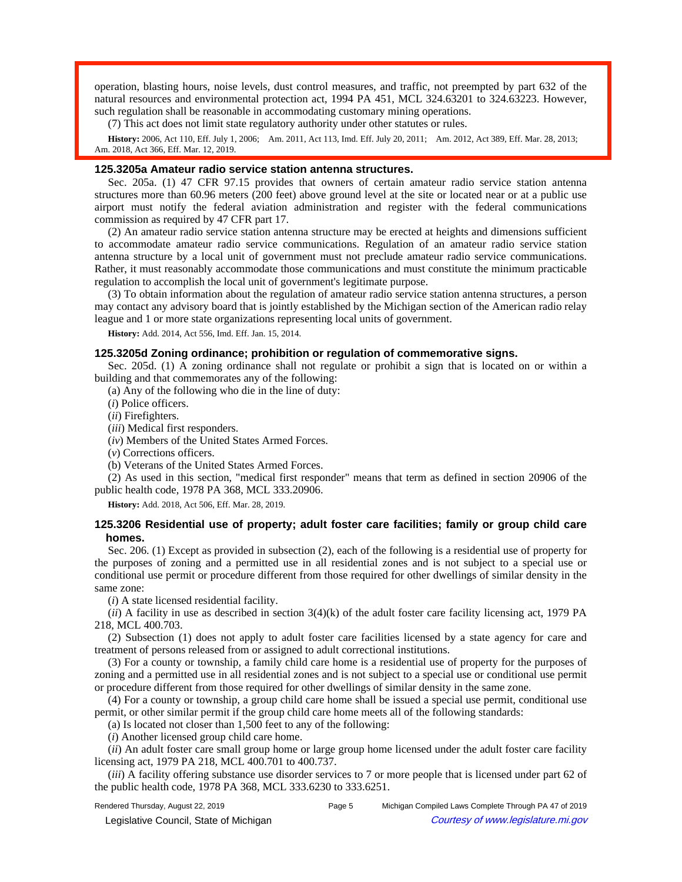operation, blasting hours, noise levels, dust control measures, and traffic, not preempted by part 632 of the natural resources and environmental protection act, 1994 PA 451, MCL 324.63201 to 324.63223. However, such regulation shall be reasonable in accommodating customary mining operations.

(7) This act does not limit state regulatory authority under other statutes or rules.

History: 2006, Act 110, Eff. July 1, 2006;—Am. 2011, Act 113, Imd. Eff. July 20, 2011;—Am. 2012, Act 389, Eff. Mar. 28, 2013;— Am. 2018, Act 366, Eff. Mar. 12, 2019.

## **125.3205a Amateur radio service station antenna structures.**

Sec. 205a. (1) 47 CFR 97.15 provides that owners of certain amateur radio service station antenna structures more than 60.96 meters (200 feet) above ground level at the site or located near or at a public use airport must notify the federal aviation administration and register with the federal communications commission as required by 47 CFR part 17.

(2) An amateur radio service station antenna structure may be erected at heights and dimensions sufficient to accommodate amateur radio service communications. Regulation of an amateur radio service station antenna structure by a local unit of government must not preclude amateur radio service communications. Rather, it must reasonably accommodate those communications and must constitute the minimum practicable regulation to accomplish the local unit of government's legitimate purpose.

(3) To obtain information about the regulation of amateur radio service station antenna structures, a person may contact any advisory board that is jointly established by the Michigan section of the American radio relay league and 1 or more state organizations representing local units of government.

**History:** Add. 2014, Act 556, Imd. Eff. Jan. 15, 2014.

### **125.3205d Zoning ordinance; prohibition or regulation of commemorative signs.**

Sec. 205d. (1) A zoning ordinance shall not regulate or prohibit a sign that is located on or within a building and that commemorates any of the following:

(a) Any of the following who die in the line of duty:

- (*i*) Police officers.
- (*ii*) Firefighters.
- (*iii*) Medical first responders.
- (*iv*) Members of the United States Armed Forces.

(*v*) Corrections officers.

(b) Veterans of the United States Armed Forces.

(2) As used in this section, "medical first responder" means that term as defined in section 20906 of the public health code, 1978 PA 368, MCL 333.20906.

**History:** Add. 2018, Act 506, Eff. Mar. 28, 2019.

## **125.3206 Residential use of property; adult foster care facilities; family or group child care homes.**

Sec. 206. (1) Except as provided in subsection (2), each of the following is a residential use of property for the purposes of zoning and a permitted use in all residential zones and is not subject to a special use or conditional use permit or procedure different from those required for other dwellings of similar density in the same zone:

(*i*) A state licensed residential facility.

(*ii*) A facility in use as described in section 3(4)(k) of the adult foster care facility licensing act, 1979 PA 218, MCL 400.703.

(2) Subsection (1) does not apply to adult foster care facilities licensed by a state agency for care and treatment of persons released from or assigned to adult correctional institutions.

(3) For a county or township, a family child care home is a residential use of property for the purposes of zoning and a permitted use in all residential zones and is not subject to a special use or conditional use permit or procedure different from those required for other dwellings of similar density in the same zone.

(4) For a county or township, a group child care home shall be issued a special use permit, conditional use permit, or other similar permit if the group child care home meets all of the following standards:

(a) Is located not closer than 1,500 feet to any of the following:

(*i*) Another licensed group child care home.

(*ii*) An adult foster care small group home or large group home licensed under the adult foster care facility licensing act, 1979 PA 218, MCL 400.701 to 400.737.

(*iii*) A facility offering substance use disorder services to 7 or more people that is licensed under part 62 of the public health code, 1978 PA 368, MCL 333.6230 to 333.6251.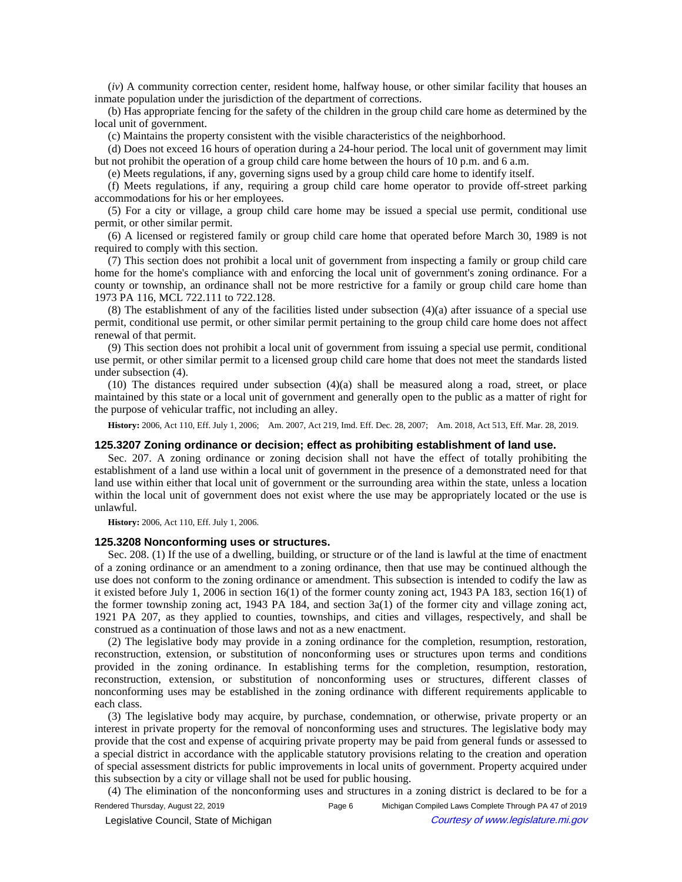(*iv*) A community correction center, resident home, halfway house, or other similar facility that houses an inmate population under the jurisdiction of the department of corrections.

(b) Has appropriate fencing for the safety of the children in the group child care home as determined by the local unit of government.

(c) Maintains the property consistent with the visible characteristics of the neighborhood.

(d) Does not exceed 16 hours of operation during a 24-hour period. The local unit of government may limit but not prohibit the operation of a group child care home between the hours of 10 p.m. and 6 a.m.

(e) Meets regulations, if any, governing signs used by a group child care home to identify itself.

(f) Meets regulations, if any, requiring a group child care home operator to provide off-street parking accommodations for his or her employees.

(5) For a city or village, a group child care home may be issued a special use permit, conditional use permit, or other similar permit.

(6) A licensed or registered family or group child care home that operated before March 30, 1989 is not required to comply with this section.

(7) This section does not prohibit a local unit of government from inspecting a family or group child care home for the home's compliance with and enforcing the local unit of government's zoning ordinance. For a county or township, an ordinance shall not be more restrictive for a family or group child care home than 1973 PA 116, MCL 722.111 to 722.128.

(8) The establishment of any of the facilities listed under subsection (4)(a) after issuance of a special use permit, conditional use permit, or other similar permit pertaining to the group child care home does not affect renewal of that permit.

(9) This section does not prohibit a local unit of government from issuing a special use permit, conditional use permit, or other similar permit to a licensed group child care home that does not meet the standards listed under subsection (4).

(10) The distances required under subsection (4)(a) shall be measured along a road, street, or place maintained by this state or a local unit of government and generally open to the public as a matter of right for the purpose of vehicular traffic, not including an alley.

History: 2006, Act 110, Eff. July 1, 2006;—Am. 2007, Act 219, Imd. Eff. Dec. 28, 2007;—Am. 2018, Act 513, Eff. Mar. 28, 2019.

#### **125.3207 Zoning ordinance or decision; effect as prohibiting establishment of land use.**

Sec. 207. A zoning ordinance or zoning decision shall not have the effect of totally prohibiting the establishment of a land use within a local unit of government in the presence of a demonstrated need for that land use within either that local unit of government or the surrounding area within the state, unless a location within the local unit of government does not exist where the use may be appropriately located or the use is unlawful.

**History:** 2006, Act 110, Eff. July 1, 2006.

### **125.3208 Nonconforming uses or structures.**

Sec. 208. (1) If the use of a dwelling, building, or structure or of the land is lawful at the time of enactment of a zoning ordinance or an amendment to a zoning ordinance, then that use may be continued although the use does not conform to the zoning ordinance or amendment. This subsection is intended to codify the law as it existed before July 1, 2006 in section 16(1) of the former county zoning act, 1943 PA 183, section 16(1) of the former township zoning act, 1943 PA 184, and section 3a(1) of the former city and village zoning act, 1921 PA 207, as they applied to counties, townships, and cities and villages, respectively, and shall be construed as a continuation of those laws and not as a new enactment.

(2) The legislative body may provide in a zoning ordinance for the completion, resumption, restoration, reconstruction, extension, or substitution of nonconforming uses or structures upon terms and conditions provided in the zoning ordinance. In establishing terms for the completion, resumption, restoration, reconstruction, extension, or substitution of nonconforming uses or structures, different classes of nonconforming uses may be established in the zoning ordinance with different requirements applicable to each class.

(3) The legislative body may acquire, by purchase, condemnation, or otherwise, private property or an interest in private property for the removal of nonconforming uses and structures. The legislative body may provide that the cost and expense of acquiring private property may be paid from general funds or assessed to a special district in accordance with the applicable statutory provisions relating to the creation and operation of special assessment districts for public improvements in local units of government. Property acquired under this subsection by a city or village shall not be used for public housing.

(4) The elimination of the nonconforming uses and structures in a zoning district is declared to be for a

Rendered Thursday, August 22, 2019 **Page 6** Michigan Compiled Laws Complete Through PA 47 of 2019 © Legislative Council, State of Michigan Council Courtesy of www.legislature.mi.gov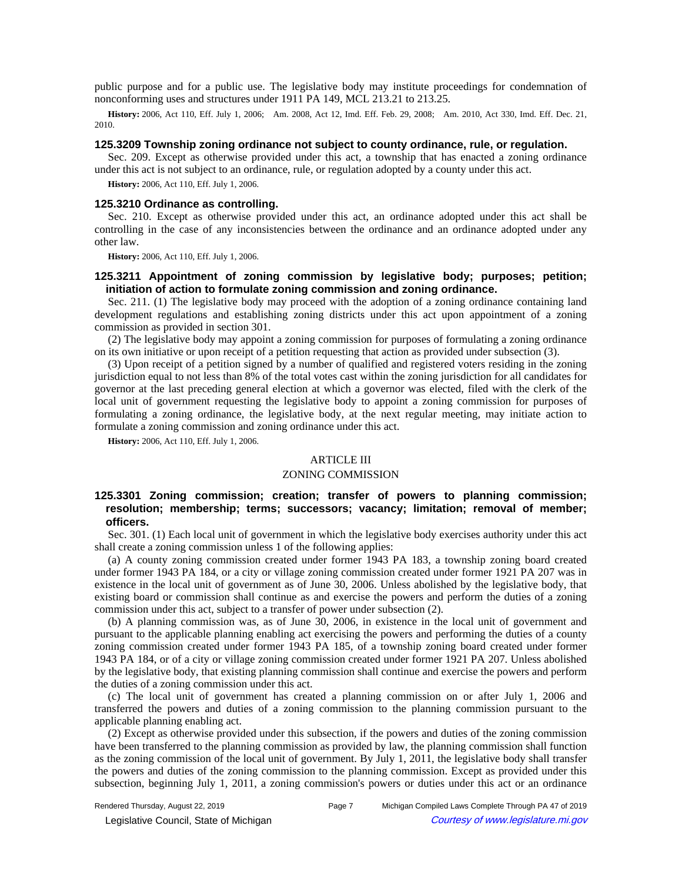public purpose and for a public use. The legislative body may institute proceedings for condemnation of nonconforming uses and structures under 1911 PA 149, MCL 213.21 to 213.25.

History: 2006, Act 110, Eff. July 1, 2006;—Am. 2008, Act 12, Imd. Eff. Feb. 29, 2008;—Am. 2010, Act 330, Imd. Eff. Dec. 21, 2010.

### **125.3209 Township zoning ordinance not subject to county ordinance, rule, or regulation.**

Sec. 209. Except as otherwise provided under this act, a township that has enacted a zoning ordinance under this act is not subject to an ordinance, rule, or regulation adopted by a county under this act.

**History:** 2006, Act 110, Eff. July 1, 2006.

### **125.3210 Ordinance as controlling.**

Sec. 210. Except as otherwise provided under this act, an ordinance adopted under this act shall be controlling in the case of any inconsistencies between the ordinance and an ordinance adopted under any other law.

**History:** 2006, Act 110, Eff. July 1, 2006.

# **125.3211 Appointment of zoning commission by legislative body; purposes; petition; initiation of action to formulate zoning commission and zoning ordinance.**

Sec. 211. (1) The legislative body may proceed with the adoption of a zoning ordinance containing land development regulations and establishing zoning districts under this act upon appointment of a zoning commission as provided in section 301.

(2) The legislative body may appoint a zoning commission for purposes of formulating a zoning ordinance on its own initiative or upon receipt of a petition requesting that action as provided under subsection (3).

(3) Upon receipt of a petition signed by a number of qualified and registered voters residing in the zoning jurisdiction equal to not less than 8% of the total votes cast within the zoning jurisdiction for all candidates for governor at the last preceding general election at which a governor was elected, filed with the clerk of the local unit of government requesting the legislative body to appoint a zoning commission for purposes of formulating a zoning ordinance, the legislative body, at the next regular meeting, may initiate action to formulate a zoning commission and zoning ordinance under this act.

**History:** 2006, Act 110, Eff. July 1, 2006.

### ARTICLE III

#### ZONING COMMISSION

# **125.3301 Zoning commission; creation; transfer of powers to planning commission; resolution; membership; terms; successors; vacancy; limitation; removal of member; officers.**

Sec. 301. (1) Each local unit of government in which the legislative body exercises authority under this act shall create a zoning commission unless 1 of the following applies:

(a) A county zoning commission created under former 1943 PA 183, a township zoning board created under former 1943 PA 184, or a city or village zoning commission created under former 1921 PA 207 was in existence in the local unit of government as of June 30, 2006. Unless abolished by the legislative body, that existing board or commission shall continue as and exercise the powers and perform the duties of a zoning commission under this act, subject to a transfer of power under subsection (2).

(b) A planning commission was, as of June 30, 2006, in existence in the local unit of government and pursuant to the applicable planning enabling act exercising the powers and performing the duties of a county zoning commission created under former 1943 PA 185, of a township zoning board created under former 1943 PA 184, or of a city or village zoning commission created under former 1921 PA 207. Unless abolished by the legislative body, that existing planning commission shall continue and exercise the powers and perform the duties of a zoning commission under this act.

(c) The local unit of government has created a planning commission on or after July 1, 2006 and transferred the powers and duties of a zoning commission to the planning commission pursuant to the applicable planning enabling act.

(2) Except as otherwise provided under this subsection, if the powers and duties of the zoning commission have been transferred to the planning commission as provided by law, the planning commission shall function as the zoning commission of the local unit of government. By July 1, 2011, the legislative body shall transfer the powers and duties of the zoning commission to the planning commission. Except as provided under this subsection, beginning July 1, 2011, a zoning commission's powers or duties under this act or an ordinance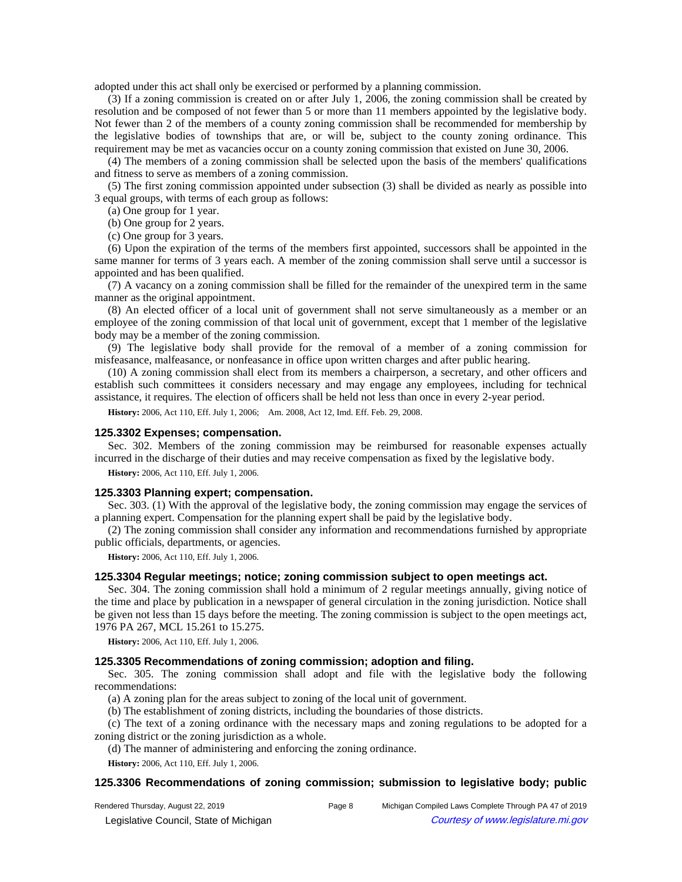adopted under this act shall only be exercised or performed by a planning commission.

(3) If a zoning commission is created on or after July 1, 2006, the zoning commission shall be created by resolution and be composed of not fewer than 5 or more than 11 members appointed by the legislative body. Not fewer than 2 of the members of a county zoning commission shall be recommended for membership by the legislative bodies of townships that are, or will be, subject to the county zoning ordinance. This requirement may be met as vacancies occur on a county zoning commission that existed on June 30, 2006.

(4) The members of a zoning commission shall be selected upon the basis of the members' qualifications and fitness to serve as members of a zoning commission.

(5) The first zoning commission appointed under subsection (3) shall be divided as nearly as possible into 3 equal groups, with terms of each group as follows:

(a) One group for 1 year.

(b) One group for 2 years.

(c) One group for 3 years.

(6) Upon the expiration of the terms of the members first appointed, successors shall be appointed in the same manner for terms of 3 years each. A member of the zoning commission shall serve until a successor is appointed and has been qualified.

(7) A vacancy on a zoning commission shall be filled for the remainder of the unexpired term in the same manner as the original appointment.

(8) An elected officer of a local unit of government shall not serve simultaneously as a member or an employee of the zoning commission of that local unit of government, except that 1 member of the legislative body may be a member of the zoning commission.

(9) The legislative body shall provide for the removal of a member of a zoning commission for misfeasance, malfeasance, or nonfeasance in office upon written charges and after public hearing.

(10) A zoning commission shall elect from its members a chairperson, a secretary, and other officers and establish such committees it considers necessary and may engage any employees, including for technical assistance, it requires. The election of officers shall be held not less than once in every 2-year period.

History: 2006, Act 110, Eff. July 1, 2006;- Am. 2008, Act 12, Imd. Eff. Feb. 29, 2008.

#### **125.3302 Expenses; compensation.**

Sec. 302. Members of the zoning commission may be reimbursed for reasonable expenses actually incurred in the discharge of their duties and may receive compensation as fixed by the legislative body.

**History:** 2006, Act 110, Eff. July 1, 2006.

#### **125.3303 Planning expert; compensation.**

Sec. 303. (1) With the approval of the legislative body, the zoning commission may engage the services of a planning expert. Compensation for the planning expert shall be paid by the legislative body.

(2) The zoning commission shall consider any information and recommendations furnished by appropriate public officials, departments, or agencies.

**History:** 2006, Act 110, Eff. July 1, 2006.

## **125.3304 Regular meetings; notice; zoning commission subject to open meetings act.**

Sec. 304. The zoning commission shall hold a minimum of 2 regular meetings annually, giving notice of the time and place by publication in a newspaper of general circulation in the zoning jurisdiction. Notice shall be given not less than 15 days before the meeting. The zoning commission is subject to the open meetings act, 1976 PA 267, MCL 15.261 to 15.275.

**History:** 2006, Act 110, Eff. July 1, 2006.

## **125.3305 Recommendations of zoning commission; adoption and filing.**

Sec. 305. The zoning commission shall adopt and file with the legislative body the following recommendations:

(a) A zoning plan for the areas subject to zoning of the local unit of government.

(b) The establishment of zoning districts, including the boundaries of those districts.

(c) The text of a zoning ordinance with the necessary maps and zoning regulations to be adopted for a zoning district or the zoning jurisdiction as a whole.

(d) The manner of administering and enforcing the zoning ordinance.

**History:** 2006, Act 110, Eff. July 1, 2006.

## **125.3306 Recommendations of zoning commission; submission to legislative body; public**

Rendered Thursday, August 22, 2019 Page 8 Michigan Compiled Laws Complete Through PA 47 of 2019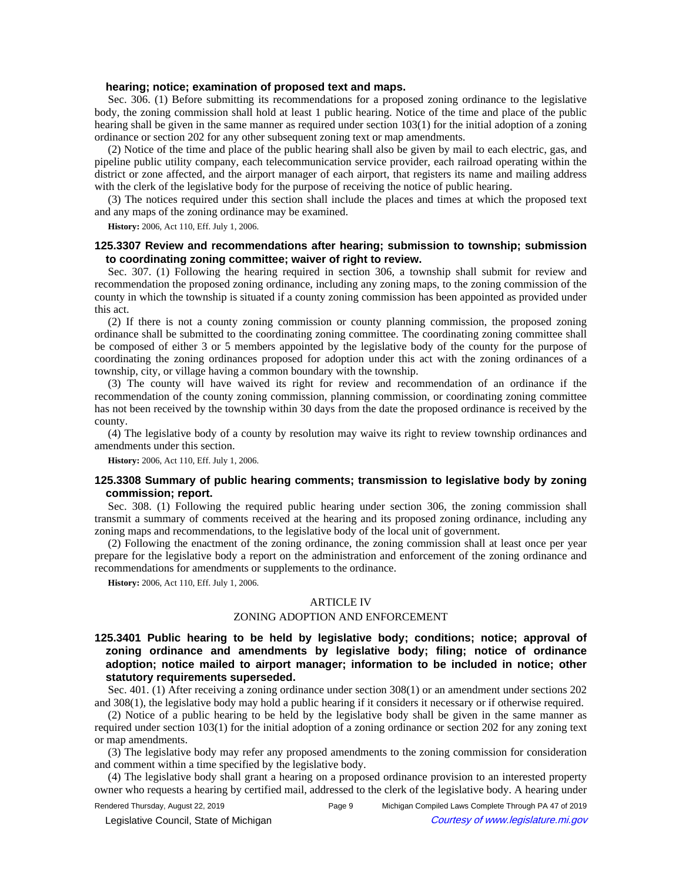### **hearing; notice; examination of proposed text and maps.**

Sec. 306. (1) Before submitting its recommendations for a proposed zoning ordinance to the legislative body, the zoning commission shall hold at least 1 public hearing. Notice of the time and place of the public hearing shall be given in the same manner as required under section 103(1) for the initial adoption of a zoning ordinance or section 202 for any other subsequent zoning text or map amendments.

(2) Notice of the time and place of the public hearing shall also be given by mail to each electric, gas, and pipeline public utility company, each telecommunication service provider, each railroad operating within the district or zone affected, and the airport manager of each airport, that registers its name and mailing address with the clerk of the legislative body for the purpose of receiving the notice of public hearing.

(3) The notices required under this section shall include the places and times at which the proposed text and any maps of the zoning ordinance may be examined.

**History:** 2006, Act 110, Eff. July 1, 2006.

## **125.3307 Review and recommendations after hearing; submission to township; submission to coordinating zoning committee; waiver of right to review.**

Sec. 307. (1) Following the hearing required in section 306, a township shall submit for review and recommendation the proposed zoning ordinance, including any zoning maps, to the zoning commission of the county in which the township is situated if a county zoning commission has been appointed as provided under this act.

(2) If there is not a county zoning commission or county planning commission, the proposed zoning ordinance shall be submitted to the coordinating zoning committee. The coordinating zoning committee shall be composed of either 3 or 5 members appointed by the legislative body of the county for the purpose of coordinating the zoning ordinances proposed for adoption under this act with the zoning ordinances of a township, city, or village having a common boundary with the township.

(3) The county will have waived its right for review and recommendation of an ordinance if the recommendation of the county zoning commission, planning commission, or coordinating zoning committee has not been received by the township within 30 days from the date the proposed ordinance is received by the county.

(4) The legislative body of a county by resolution may waive its right to review township ordinances and amendments under this section.

**History:** 2006, Act 110, Eff. July 1, 2006.

## **125.3308 Summary of public hearing comments; transmission to legislative body by zoning commission; report.**

Sec. 308. (1) Following the required public hearing under section 306, the zoning commission shall transmit a summary of comments received at the hearing and its proposed zoning ordinance, including any zoning maps and recommendations, to the legislative body of the local unit of government.

(2) Following the enactment of the zoning ordinance, the zoning commission shall at least once per year prepare for the legislative body a report on the administration and enforcement of the zoning ordinance and recommendations for amendments or supplements to the ordinance.

**History:** 2006, Act 110, Eff. July 1, 2006.

#### ARTICLE IV

### ZONING ADOPTION AND ENFORCEMENT

# **125.3401 Public hearing to be held by legislative body; conditions; notice; approval of zoning ordinance and amendments by legislative body; filing; notice of ordinance adoption; notice mailed to airport manager; information to be included in notice; other statutory requirements superseded.**

Sec. 401. (1) After receiving a zoning ordinance under section 308(1) or an amendment under sections 202 and 308(1), the legislative body may hold a public hearing if it considers it necessary or if otherwise required.

(2) Notice of a public hearing to be held by the legislative body shall be given in the same manner as required under section 103(1) for the initial adoption of a zoning ordinance or section 202 for any zoning text or map amendments.

(3) The legislative body may refer any proposed amendments to the zoning commission for consideration and comment within a time specified by the legislative body.

(4) The legislative body shall grant a hearing on a proposed ordinance provision to an interested property owner who requests a hearing by certified mail, addressed to the clerk of the legislative body. A hearing under

Rendered Thursday, August 22, 2019 Page 9 Michigan Compiled Laws Complete Through PA 47 of 2019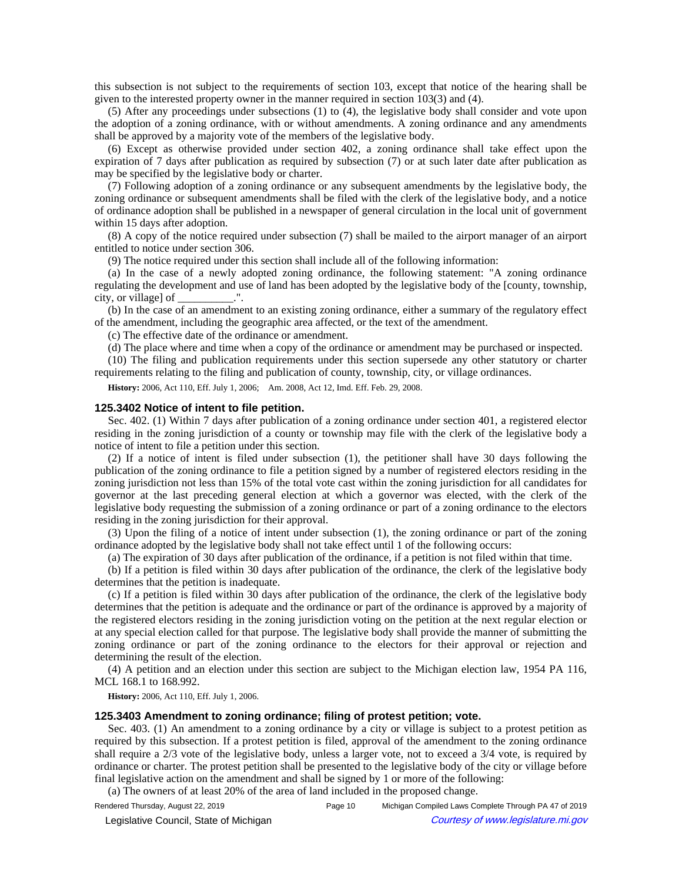this subsection is not subject to the requirements of section 103, except that notice of the hearing shall be given to the interested property owner in the manner required in section 103(3) and (4).

(5) After any proceedings under subsections (1) to (4), the legislative body shall consider and vote upon the adoption of a zoning ordinance, with or without amendments. A zoning ordinance and any amendments shall be approved by a majority vote of the members of the legislative body.

(6) Except as otherwise provided under section 402, a zoning ordinance shall take effect upon the expiration of 7 days after publication as required by subsection (7) or at such later date after publication as may be specified by the legislative body or charter.

(7) Following adoption of a zoning ordinance or any subsequent amendments by the legislative body, the zoning ordinance or subsequent amendments shall be filed with the clerk of the legislative body, and a notice of ordinance adoption shall be published in a newspaper of general circulation in the local unit of government within 15 days after adoption.

(8) A copy of the notice required under subsection (7) shall be mailed to the airport manager of an airport entitled to notice under section 306.

(9) The notice required under this section shall include all of the following information:

(a) In the case of a newly adopted zoning ordinance, the following statement: "A zoning ordinance regulating the development and use of land has been adopted by the legislative body of the [county, township, city, or village] of  $\blacksquare$ .

(b) In the case of an amendment to an existing zoning ordinance, either a summary of the regulatory effect of the amendment, including the geographic area affected, or the text of the amendment.

(c) The effective date of the ordinance or amendment.

(d) The place where and time when a copy of the ordinance or amendment may be purchased or inspected.

(10) The filing and publication requirements under this section supersede any other statutory or charter requirements relating to the filing and publication of county, township, city, or village ordinances.

History: 2006, Act 110, Eff. July 1, 2006;—Am. 2008, Act 12, Imd. Eff. Feb. 29, 2008.

#### **125.3402 Notice of intent to file petition.**

Sec. 402. (1) Within 7 days after publication of a zoning ordinance under section 401, a registered elector residing in the zoning jurisdiction of a county or township may file with the clerk of the legislative body a notice of intent to file a petition under this section.

(2) If a notice of intent is filed under subsection (1), the petitioner shall have 30 days following the publication of the zoning ordinance to file a petition signed by a number of registered electors residing in the zoning jurisdiction not less than 15% of the total vote cast within the zoning jurisdiction for all candidates for governor at the last preceding general election at which a governor was elected, with the clerk of the legislative body requesting the submission of a zoning ordinance or part of a zoning ordinance to the electors residing in the zoning jurisdiction for their approval.

(3) Upon the filing of a notice of intent under subsection (1), the zoning ordinance or part of the zoning ordinance adopted by the legislative body shall not take effect until 1 of the following occurs:

(a) The expiration of 30 days after publication of the ordinance, if a petition is not filed within that time.

(b) If a petition is filed within 30 days after publication of the ordinance, the clerk of the legislative body determines that the petition is inadequate.

(c) If a petition is filed within 30 days after publication of the ordinance, the clerk of the legislative body determines that the petition is adequate and the ordinance or part of the ordinance is approved by a majority of the registered electors residing in the zoning jurisdiction voting on the petition at the next regular election or at any special election called for that purpose. The legislative body shall provide the manner of submitting the zoning ordinance or part of the zoning ordinance to the electors for their approval or rejection and determining the result of the election.

(4) A petition and an election under this section are subject to the Michigan election law, 1954 PA 116, MCL 168.1 to 168.992.

**History:** 2006, Act 110, Eff. July 1, 2006.

## **125.3403 Amendment to zoning ordinance; filing of protest petition; vote.**

Sec. 403. (1) An amendment to a zoning ordinance by a city or village is subject to a protest petition as required by this subsection. If a protest petition is filed, approval of the amendment to the zoning ordinance shall require a 2/3 vote of the legislative body, unless a larger vote, not to exceed a 3/4 vote, is required by ordinance or charter. The protest petition shall be presented to the legislative body of the city or village before final legislative action on the amendment and shall be signed by 1 or more of the following:

(a) The owners of at least 20% of the area of land included in the proposed change.

Rendered Thursday, August 22, 2019 **Page 10** Page 10 Michigan Compiled Laws Complete Through PA 47 of 2019 © Legislative Council, State of Michigan Council Courtesy of www.legislature.mi.gov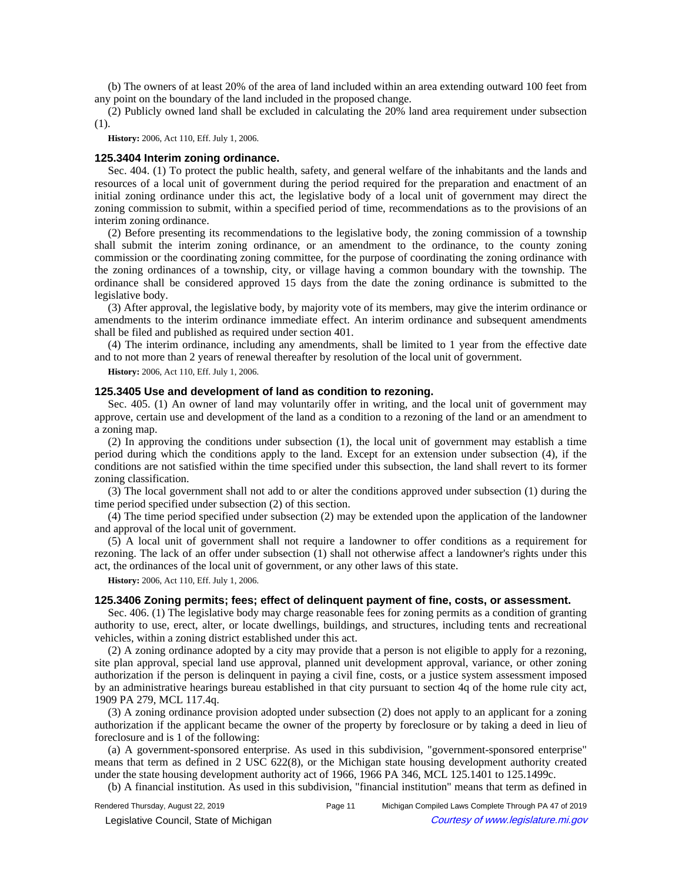(b) The owners of at least 20% of the area of land included within an area extending outward 100 feet from any point on the boundary of the land included in the proposed change.

(2) Publicly owned land shall be excluded in calculating the 20% land area requirement under subsection (1).

**History:** 2006, Act 110, Eff. July 1, 2006.

### **125.3404 Interim zoning ordinance.**

Sec. 404. (1) To protect the public health, safety, and general welfare of the inhabitants and the lands and resources of a local unit of government during the period required for the preparation and enactment of an initial zoning ordinance under this act, the legislative body of a local unit of government may direct the zoning commission to submit, within a specified period of time, recommendations as to the provisions of an interim zoning ordinance.

(2) Before presenting its recommendations to the legislative body, the zoning commission of a township shall submit the interim zoning ordinance, or an amendment to the ordinance, to the county zoning commission or the coordinating zoning committee, for the purpose of coordinating the zoning ordinance with the zoning ordinances of a township, city, or village having a common boundary with the township. The ordinance shall be considered approved 15 days from the date the zoning ordinance is submitted to the legislative body.

(3) After approval, the legislative body, by majority vote of its members, may give the interim ordinance or amendments to the interim ordinance immediate effect. An interim ordinance and subsequent amendments shall be filed and published as required under section 401.

(4) The interim ordinance, including any amendments, shall be limited to 1 year from the effective date and to not more than 2 years of renewal thereafter by resolution of the local unit of government.

**History:** 2006, Act 110, Eff. July 1, 2006.

## **125.3405 Use and development of land as condition to rezoning.**

Sec. 405. (1) An owner of land may voluntarily offer in writing, and the local unit of government may approve, certain use and development of the land as a condition to a rezoning of the land or an amendment to a zoning map.

(2) In approving the conditions under subsection (1), the local unit of government may establish a time period during which the conditions apply to the land. Except for an extension under subsection (4), if the conditions are not satisfied within the time specified under this subsection, the land shall revert to its former zoning classification.

(3) The local government shall not add to or alter the conditions approved under subsection (1) during the time period specified under subsection (2) of this section.

(4) The time period specified under subsection (2) may be extended upon the application of the landowner and approval of the local unit of government.

(5) A local unit of government shall not require a landowner to offer conditions as a requirement for rezoning. The lack of an offer under subsection (1) shall not otherwise affect a landowner's rights under this act, the ordinances of the local unit of government, or any other laws of this state.

**History:** 2006, Act 110, Eff. July 1, 2006.

#### **125.3406 Zoning permits; fees; effect of delinquent payment of fine, costs, or assessment.**

Sec. 406. (1) The legislative body may charge reasonable fees for zoning permits as a condition of granting authority to use, erect, alter, or locate dwellings, buildings, and structures, including tents and recreational vehicles, within a zoning district established under this act.

(2) A zoning ordinance adopted by a city may provide that a person is not eligible to apply for a rezoning, site plan approval, special land use approval, planned unit development approval, variance, or other zoning authorization if the person is delinquent in paying a civil fine, costs, or a justice system assessment imposed by an administrative hearings bureau established in that city pursuant to section 4q of the home rule city act, 1909 PA 279, MCL 117.4q.

(3) A zoning ordinance provision adopted under subsection (2) does not apply to an applicant for a zoning authorization if the applicant became the owner of the property by foreclosure or by taking a deed in lieu of foreclosure and is 1 of the following:

(a) A government-sponsored enterprise. As used in this subdivision, "government-sponsored enterprise" means that term as defined in 2 USC 622(8), or the Michigan state housing development authority created under the state housing development authority act of 1966, 1966 PA 346, MCL 125.1401 to 125.1499c.

(b) A financial institution. As used in this subdivision, "financial institution" means that term as defined in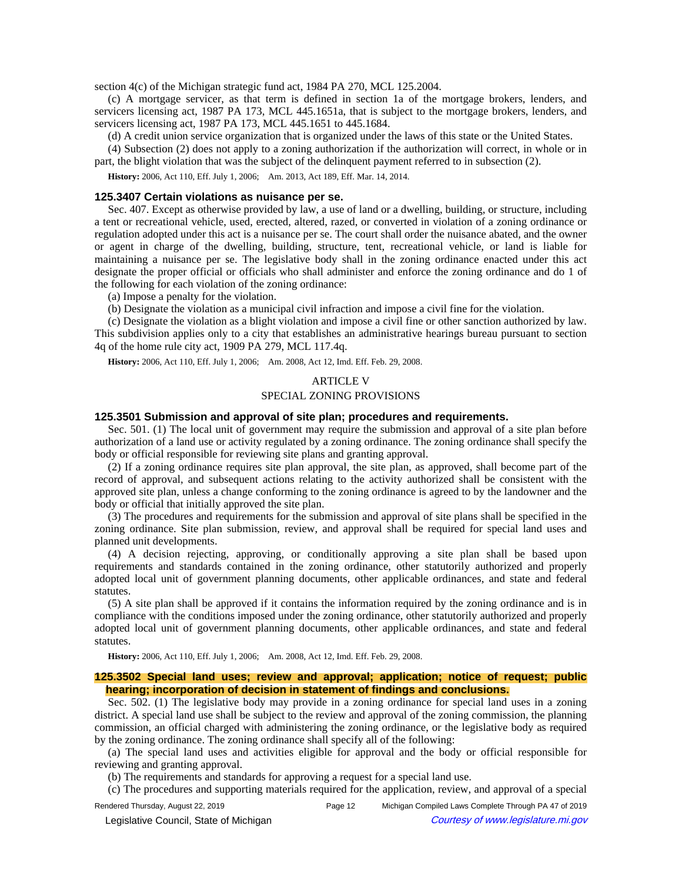section 4(c) of the Michigan strategic fund act, 1984 PA 270, MCL 125.2004.

(c) A mortgage servicer, as that term is defined in section 1a of the mortgage brokers, lenders, and servicers licensing act, 1987 PA 173, MCL 445.1651a, that is subject to the mortgage brokers, lenders, and servicers licensing act, 1987 PA 173, MCL 445.1651 to 445.1684.

(d) A credit union service organization that is organized under the laws of this state or the United States.

(4) Subsection (2) does not apply to a zoning authorization if the authorization will correct, in whole or in part, the blight violation that was the subject of the delinquent payment referred to in subsection (2).

History: 2006, Act 110, Eff. July 1, 2006;- Am. 2013, Act 189, Eff. Mar. 14, 2014.

#### **125.3407 Certain violations as nuisance per se.**

Sec. 407. Except as otherwise provided by law, a use of land or a dwelling, building, or structure, including a tent or recreational vehicle, used, erected, altered, razed, or converted in violation of a zoning ordinance or regulation adopted under this act is a nuisance per se. The court shall order the nuisance abated, and the owner or agent in charge of the dwelling, building, structure, tent, recreational vehicle, or land is liable for maintaining a nuisance per se. The legislative body shall in the zoning ordinance enacted under this act designate the proper official or officials who shall administer and enforce the zoning ordinance and do 1 of the following for each violation of the zoning ordinance:

(a) Impose a penalty for the violation.

(b) Designate the violation as a municipal civil infraction and impose a civil fine for the violation.

(c) Designate the violation as a blight violation and impose a civil fine or other sanction authorized by law. This subdivision applies only to a city that establishes an administrative hearings bureau pursuant to section 4q of the home rule city act, 1909 PA 279, MCL 117.4q.

History: 2006, Act 110, Eff. July 1, 2006;- Am. 2008, Act 12, Imd. Eff. Feb. 29, 2008.

#### ARTICLE V

### SPECIAL ZONING PROVISIONS

#### **125.3501 Submission and approval of site plan; procedures and requirements.**

Sec. 501. (1) The local unit of government may require the submission and approval of a site plan before authorization of a land use or activity regulated by a zoning ordinance. The zoning ordinance shall specify the body or official responsible for reviewing site plans and granting approval.

(2) If a zoning ordinance requires site plan approval, the site plan, as approved, shall become part of the record of approval, and subsequent actions relating to the activity authorized shall be consistent with the approved site plan, unless a change conforming to the zoning ordinance is agreed to by the landowner and the body or official that initially approved the site plan.

(3) The procedures and requirements for the submission and approval of site plans shall be specified in the zoning ordinance. Site plan submission, review, and approval shall be required for special land uses and planned unit developments.

(4) A decision rejecting, approving, or conditionally approving a site plan shall be based upon requirements and standards contained in the zoning ordinance, other statutorily authorized and properly adopted local unit of government planning documents, other applicable ordinances, and state and federal statutes.

(5) A site plan shall be approved if it contains the information required by the zoning ordinance and is in compliance with the conditions imposed under the zoning ordinance, other statutorily authorized and properly adopted local unit of government planning documents, other applicable ordinances, and state and federal statutes.

History: 2006, Act 110, Eff. July 1, 2006;- Am. 2008, Act 12, Imd. Eff. Feb. 29, 2008.

## **125.3502 Special land uses; review and approval; application; notice of request; public hearing; incorporation of decision in statement of findings and conclusions.**

Sec. 502. (1) The legislative body may provide in a zoning ordinance for special land uses in a zoning district. A special land use shall be subject to the review and approval of the zoning commission, the planning commission, an official charged with administering the zoning ordinance, or the legislative body as required by the zoning ordinance. The zoning ordinance shall specify all of the following:

(a) The special land uses and activities eligible for approval and the body or official responsible for reviewing and granting approval.

(b) The requirements and standards for approving a request for a special land use.

(c) The procedures and supporting materials required for the application, review, and approval of a special

Rendered Thursday, August 22, 2019 Page 12 Michigan Compiled Laws Complete Through PA 47 of 2019 © Legislative Council, State of Michigan Council Courtesy of www.legislature.mi.gov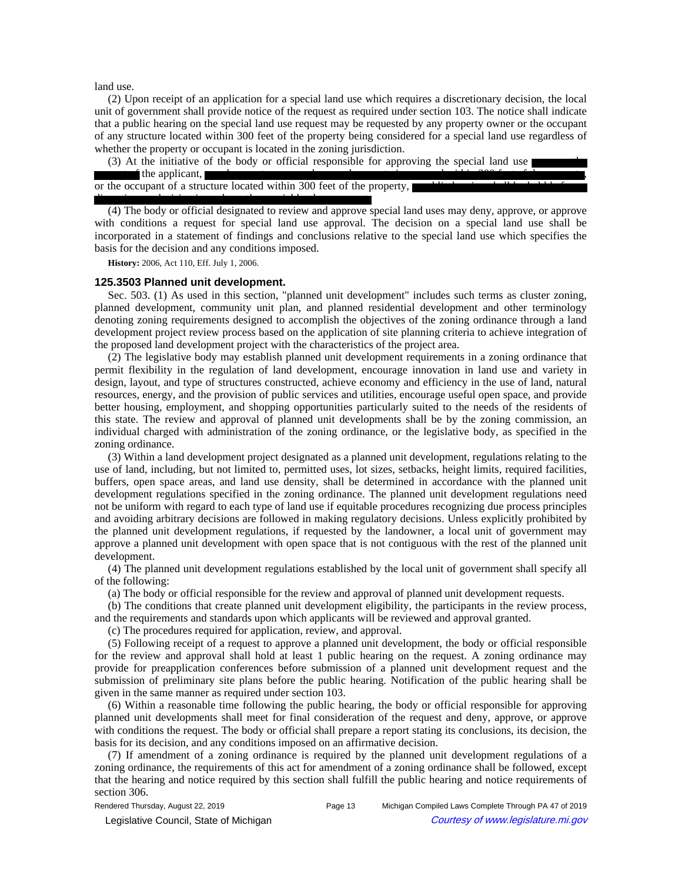land use.

(2) Upon receipt of an application for a special land use which requires a discretionary decision, the local unit of government shall provide notice of the request as required under section 103. The notice shall indicate that a public hearing on the special land use request may be requested by any property owner or the occupant of any structure located within 300 feet of the property being considered for a special land use regardless of whether the property or occupant is located in the zoning jurisdiction.

(3) At the initiative of the body or official responsible for approving the special land use or upon the request of the applicant, a real property owner whose real property is assessed within 300 feet of the property, or the occupant of a structure located within 300 feet of the property, a public hearing shall be held before a discretionary decision is made on the special land use request.

(4) The body or official designated to review and approve special land uses may deny, approve, or approve with conditions a request for special land use approval. The decision on a special land use shall be incorporated in a statement of findings and conclusions relative to the special land use which specifies the basis for the decision and any conditions imposed.

**History:** 2006, Act 110, Eff. July 1, 2006.

### **125.3503 Planned unit development.**

Sec. 503. (1) As used in this section, "planned unit development" includes such terms as cluster zoning, planned development, community unit plan, and planned residential development and other terminology denoting zoning requirements designed to accomplish the objectives of the zoning ordinance through a land development project review process based on the application of site planning criteria to achieve integration of the proposed land development project with the characteristics of the project area.

(2) The legislative body may establish planned unit development requirements in a zoning ordinance that permit flexibility in the regulation of land development, encourage innovation in land use and variety in design, layout, and type of structures constructed, achieve economy and efficiency in the use of land, natural resources, energy, and the provision of public services and utilities, encourage useful open space, and provide better housing, employment, and shopping opportunities particularly suited to the needs of the residents of this state. The review and approval of planned unit developments shall be by the zoning commission, an individual charged with administration of the zoning ordinance, or the legislative body, as specified in the zoning ordinance.

(3) Within a land development project designated as a planned unit development, regulations relating to the use of land, including, but not limited to, permitted uses, lot sizes, setbacks, height limits, required facilities, buffers, open space areas, and land use density, shall be determined in accordance with the planned unit development regulations specified in the zoning ordinance. The planned unit development regulations need not be uniform with regard to each type of land use if equitable procedures recognizing due process principles and avoiding arbitrary decisions are followed in making regulatory decisions. Unless explicitly prohibited by the planned unit development regulations, if requested by the landowner, a local unit of government may approve a planned unit development with open space that is not contiguous with the rest of the planned unit development.

(4) The planned unit development regulations established by the local unit of government shall specify all of the following:

(a) The body or official responsible for the review and approval of planned unit development requests.

(b) The conditions that create planned unit development eligibility, the participants in the review process, and the requirements and standards upon which applicants will be reviewed and approval granted.

(c) The procedures required for application, review, and approval.

(5) Following receipt of a request to approve a planned unit development, the body or official responsible for the review and approval shall hold at least 1 public hearing on the request. A zoning ordinance may provide for preapplication conferences before submission of a planned unit development request and the submission of preliminary site plans before the public hearing. Notification of the public hearing shall be given in the same manner as required under section 103.

(6) Within a reasonable time following the public hearing, the body or official responsible for approving planned unit developments shall meet for final consideration of the request and deny, approve, or approve with conditions the request. The body or official shall prepare a report stating its conclusions, its decision, the basis for its decision, and any conditions imposed on an affirmative decision.

(7) If amendment of a zoning ordinance is required by the planned unit development regulations of a zoning ordinance, the requirements of this act for amendment of a zoning ordinance shall be followed, except that the hearing and notice required by this section shall fulfill the public hearing and notice requirements of section 306.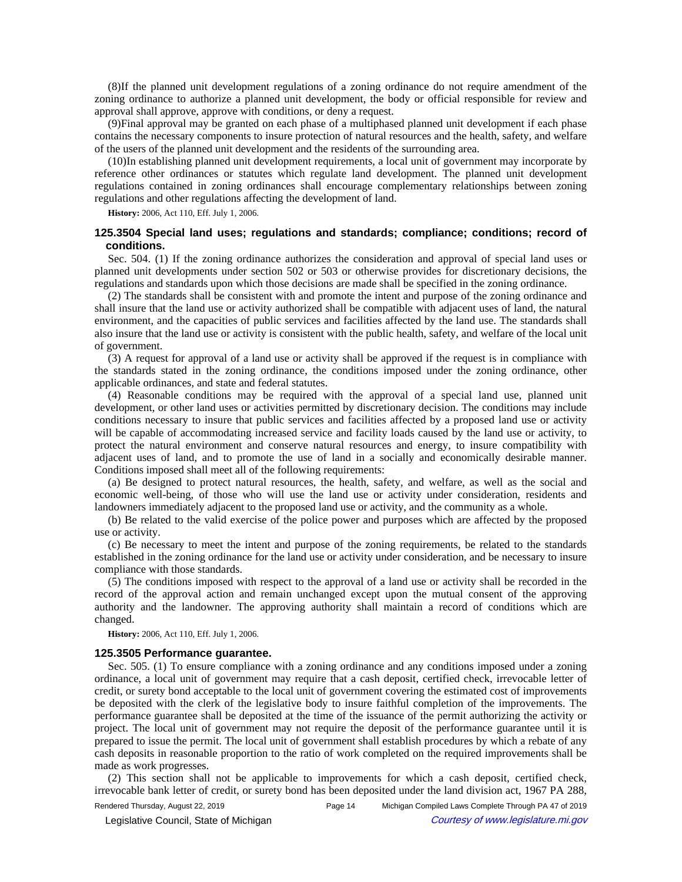(8)If the planned unit development regulations of a zoning ordinance do not require amendment of the zoning ordinance to authorize a planned unit development, the body or official responsible for review and approval shall approve, approve with conditions, or deny a request.

(9)Final approval may be granted on each phase of a multiphased planned unit development if each phase contains the necessary components to insure protection of natural resources and the health, safety, and welfare of the users of the planned unit development and the residents of the surrounding area.

(10)In establishing planned unit development requirements, a local unit of government may incorporate by reference other ordinances or statutes which regulate land development. The planned unit development regulations contained in zoning ordinances shall encourage complementary relationships between zoning regulations and other regulations affecting the development of land.

**History:** 2006, Act 110, Eff. July 1, 2006.

# **125.3504 Special land uses; regulations and standards; compliance; conditions; record of conditions.**

Sec. 504. (1) If the zoning ordinance authorizes the consideration and approval of special land uses or planned unit developments under section 502 or 503 or otherwise provides for discretionary decisions, the regulations and standards upon which those decisions are made shall be specified in the zoning ordinance.

(2) The standards shall be consistent with and promote the intent and purpose of the zoning ordinance and shall insure that the land use or activity authorized shall be compatible with adjacent uses of land, the natural environment, and the capacities of public services and facilities affected by the land use. The standards shall also insure that the land use or activity is consistent with the public health, safety, and welfare of the local unit of government.

(3) A request for approval of a land use or activity shall be approved if the request is in compliance with the standards stated in the zoning ordinance, the conditions imposed under the zoning ordinance, other applicable ordinances, and state and federal statutes.

(4) Reasonable conditions may be required with the approval of a special land use, planned unit development, or other land uses or activities permitted by discretionary decision. The conditions may include conditions necessary to insure that public services and facilities affected by a proposed land use or activity will be capable of accommodating increased service and facility loads caused by the land use or activity, to protect the natural environment and conserve natural resources and energy, to insure compatibility with adjacent uses of land, and to promote the use of land in a socially and economically desirable manner. Conditions imposed shall meet all of the following requirements:

(a) Be designed to protect natural resources, the health, safety, and welfare, as well as the social and economic well-being, of those who will use the land use or activity under consideration, residents and landowners immediately adjacent to the proposed land use or activity, and the community as a whole.

(b) Be related to the valid exercise of the police power and purposes which are affected by the proposed use or activity.

(c) Be necessary to meet the intent and purpose of the zoning requirements, be related to the standards established in the zoning ordinance for the land use or activity under consideration, and be necessary to insure compliance with those standards.

(5) The conditions imposed with respect to the approval of a land use or activity shall be recorded in the record of the approval action and remain unchanged except upon the mutual consent of the approving authority and the landowner. The approving authority shall maintain a record of conditions which are changed.

**History:** 2006, Act 110, Eff. July 1, 2006.

#### **125.3505 Performance guarantee.**

Sec. 505. (1) To ensure compliance with a zoning ordinance and any conditions imposed under a zoning ordinance, a local unit of government may require that a cash deposit, certified check, irrevocable letter of credit, or surety bond acceptable to the local unit of government covering the estimated cost of improvements be deposited with the clerk of the legislative body to insure faithful completion of the improvements. The performance guarantee shall be deposited at the time of the issuance of the permit authorizing the activity or project. The local unit of government may not require the deposit of the performance guarantee until it is prepared to issue the permit. The local unit of government shall establish procedures by which a rebate of any cash deposits in reasonable proportion to the ratio of work completed on the required improvements shall be made as work progresses.

(2) This section shall not be applicable to improvements for which a cash deposit, certified check, irrevocable bank letter of credit, or surety bond has been deposited under the land division act, 1967 PA 288,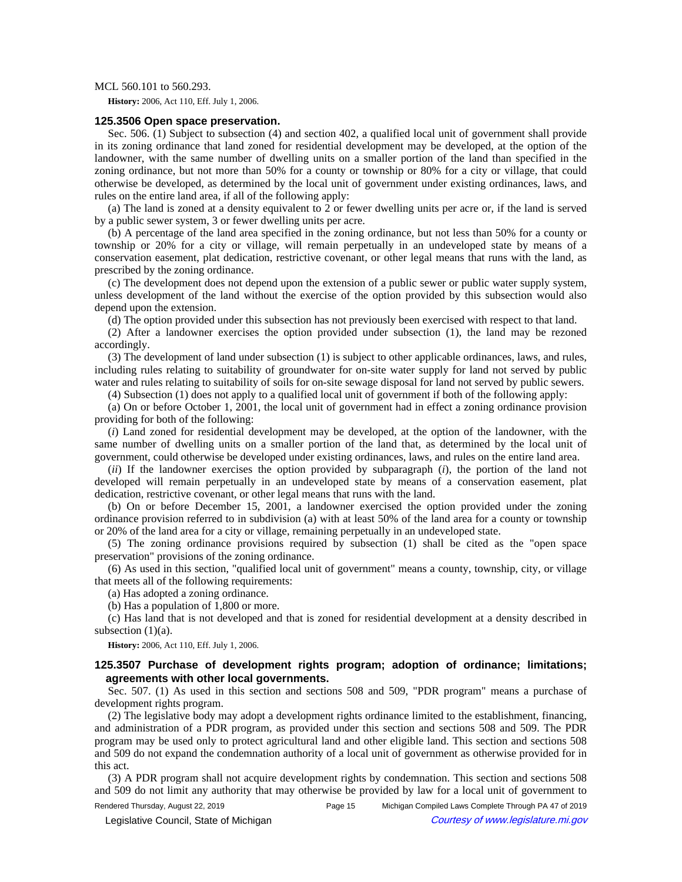### MCL 560.101 to 560.293.

**History:** 2006, Act 110, Eff. July 1, 2006.

### **125.3506 Open space preservation.**

Sec. 506. (1) Subject to subsection (4) and section 402, a qualified local unit of government shall provide in its zoning ordinance that land zoned for residential development may be developed, at the option of the landowner, with the same number of dwelling units on a smaller portion of the land than specified in the zoning ordinance, but not more than 50% for a county or township or 80% for a city or village, that could otherwise be developed, as determined by the local unit of government under existing ordinances, laws, and rules on the entire land area, if all of the following apply:

(a) The land is zoned at a density equivalent to 2 or fewer dwelling units per acre or, if the land is served by a public sewer system, 3 or fewer dwelling units per acre.

(b) A percentage of the land area specified in the zoning ordinance, but not less than 50% for a county or township or 20% for a city or village, will remain perpetually in an undeveloped state by means of a conservation easement, plat dedication, restrictive covenant, or other legal means that runs with the land, as prescribed by the zoning ordinance.

(c) The development does not depend upon the extension of a public sewer or public water supply system, unless development of the land without the exercise of the option provided by this subsection would also depend upon the extension.

(d) The option provided under this subsection has not previously been exercised with respect to that land.

(2) After a landowner exercises the option provided under subsection (1), the land may be rezoned accordingly.

(3) The development of land under subsection (1) is subject to other applicable ordinances, laws, and rules, including rules relating to suitability of groundwater for on-site water supply for land not served by public water and rules relating to suitability of soils for on-site sewage disposal for land not served by public sewers.

(4) Subsection (1) does not apply to a qualified local unit of government if both of the following apply:

(a) On or before October 1, 2001, the local unit of government had in effect a zoning ordinance provision providing for both of the following:

(*i*) Land zoned for residential development may be developed, at the option of the landowner, with the same number of dwelling units on a smaller portion of the land that, as determined by the local unit of government, could otherwise be developed under existing ordinances, laws, and rules on the entire land area.

(*ii*) If the landowner exercises the option provided by subparagraph (*i*), the portion of the land not developed will remain perpetually in an undeveloped state by means of a conservation easement, plat dedication, restrictive covenant, or other legal means that runs with the land.

(b) On or before December 15, 2001, a landowner exercised the option provided under the zoning ordinance provision referred to in subdivision (a) with at least 50% of the land area for a county or township or 20% of the land area for a city or village, remaining perpetually in an undeveloped state.

(5) The zoning ordinance provisions required by subsection (1) shall be cited as the "open space preservation" provisions of the zoning ordinance.

(6) As used in this section, "qualified local unit of government" means a county, township, city, or village that meets all of the following requirements:

(a) Has adopted a zoning ordinance.

(b) Has a population of 1,800 or more.

(c) Has land that is not developed and that is zoned for residential development at a density described in subsection  $(1)(a)$ .

**History:** 2006, Act 110, Eff. July 1, 2006.

## **125.3507 Purchase of development rights program; adoption of ordinance; limitations; agreements with other local governments.**

Sec. 507. (1) As used in this section and sections 508 and 509, "PDR program" means a purchase of development rights program.

(2) The legislative body may adopt a development rights ordinance limited to the establishment, financing, and administration of a PDR program, as provided under this section and sections 508 and 509. The PDR program may be used only to protect agricultural land and other eligible land. This section and sections 508 and 509 do not expand the condemnation authority of a local unit of government as otherwise provided for in this act.

(3) A PDR program shall not acquire development rights by condemnation. This section and sections 508 and 509 do not limit any authority that may otherwise be provided by law for a local unit of government to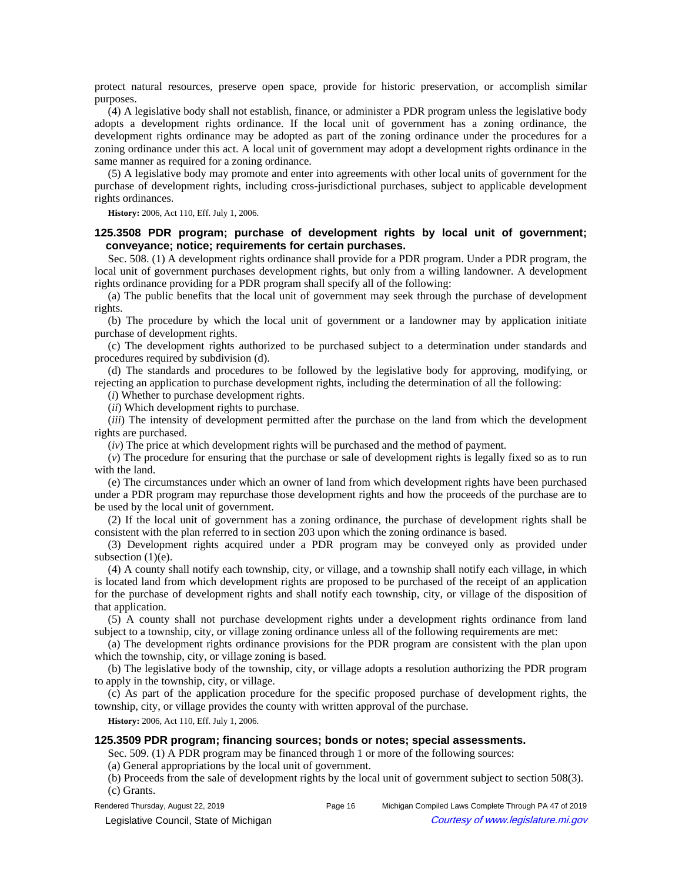protect natural resources, preserve open space, provide for historic preservation, or accomplish similar purposes.

(4) A legislative body shall not establish, finance, or administer a PDR program unless the legislative body adopts a development rights ordinance. If the local unit of government has a zoning ordinance, the development rights ordinance may be adopted as part of the zoning ordinance under the procedures for a zoning ordinance under this act. A local unit of government may adopt a development rights ordinance in the same manner as required for a zoning ordinance.

(5) A legislative body may promote and enter into agreements with other local units of government for the purchase of development rights, including cross-jurisdictional purchases, subject to applicable development rights ordinances.

**History:** 2006, Act 110, Eff. July 1, 2006.

# **125.3508 PDR program; purchase of development rights by local unit of government; conveyance; notice; requirements for certain purchases.**

Sec. 508. (1) A development rights ordinance shall provide for a PDR program. Under a PDR program, the local unit of government purchases development rights, but only from a willing landowner. A development rights ordinance providing for a PDR program shall specify all of the following:

(a) The public benefits that the local unit of government may seek through the purchase of development rights.

(b) The procedure by which the local unit of government or a landowner may by application initiate purchase of development rights.

(c) The development rights authorized to be purchased subject to a determination under standards and procedures required by subdivision (d).

(d) The standards and procedures to be followed by the legislative body for approving, modifying, or rejecting an application to purchase development rights, including the determination of all the following:

(*i*) Whether to purchase development rights.

(*ii*) Which development rights to purchase.

(*iii*) The intensity of development permitted after the purchase on the land from which the development rights are purchased.

(*iv*) The price at which development rights will be purchased and the method of payment.

(*v*) The procedure for ensuring that the purchase or sale of development rights is legally fixed so as to run with the land.

(e) The circumstances under which an owner of land from which development rights have been purchased under a PDR program may repurchase those development rights and how the proceeds of the purchase are to be used by the local unit of government.

(2) If the local unit of government has a zoning ordinance, the purchase of development rights shall be consistent with the plan referred to in section 203 upon which the zoning ordinance is based.

(3) Development rights acquired under a PDR program may be conveyed only as provided under subsection  $(1)(e)$ .

(4) A county shall notify each township, city, or village, and a township shall notify each village, in which is located land from which development rights are proposed to be purchased of the receipt of an application for the purchase of development rights and shall notify each township, city, or village of the disposition of that application.

(5) A county shall not purchase development rights under a development rights ordinance from land subject to a township, city, or village zoning ordinance unless all of the following requirements are met:

(a) The development rights ordinance provisions for the PDR program are consistent with the plan upon which the township, city, or village zoning is based.

(b) The legislative body of the township, city, or village adopts a resolution authorizing the PDR program to apply in the township, city, or village.

(c) As part of the application procedure for the specific proposed purchase of development rights, the township, city, or village provides the county with written approval of the purchase.

**History:** 2006, Act 110, Eff. July 1, 2006.

## **125.3509 PDR program; financing sources; bonds or notes; special assessments.**

Sec. 509. (1) A PDR program may be financed through 1 or more of the following sources:

(a) General appropriations by the local unit of government.

(b) Proceeds from the sale of development rights by the local unit of government subject to section 508(3). (c) Grants.

Rendered Thursday, August 22, 2019 **Page 16** Page 16 Michigan Compiled Laws Complete Through PA 47 of 2019

© Legislative Council, State of Michigan Council Council Council Council Council Council Council Council Council Council Council Council Council Council Council Council Council Council Council Council Council Council Counc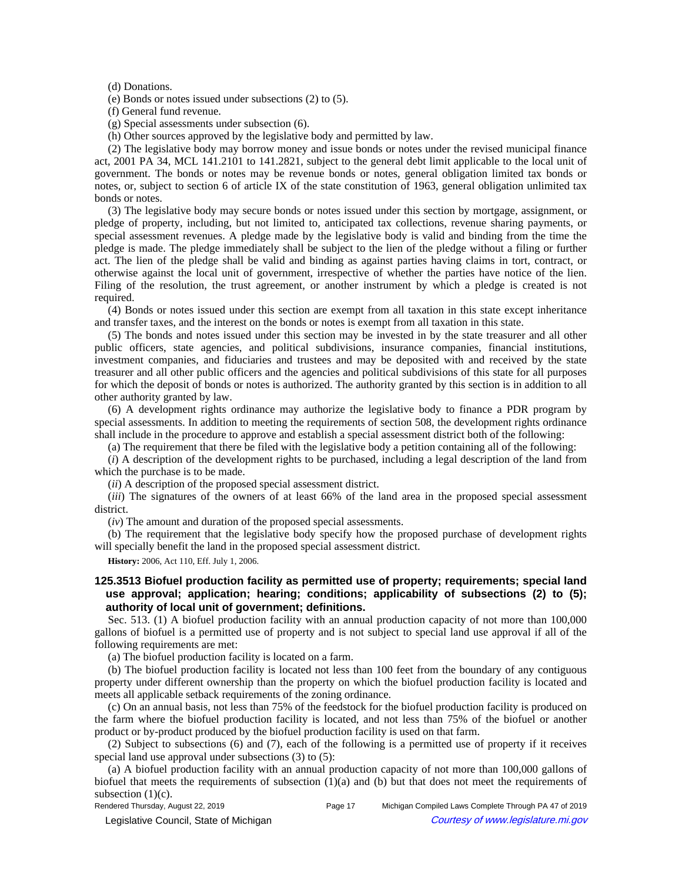(d) Donations.

(e) Bonds or notes issued under subsections (2) to (5).

(f) General fund revenue.

(g) Special assessments under subsection (6).

(h) Other sources approved by the legislative body and permitted by law.

(2) The legislative body may borrow money and issue bonds or notes under the revised municipal finance act, 2001 PA 34, MCL 141.2101 to 141.2821, subject to the general debt limit applicable to the local unit of government. The bonds or notes may be revenue bonds or notes, general obligation limited tax bonds or notes, or, subject to section 6 of article IX of the state constitution of 1963, general obligation unlimited tax bonds or notes.

(3) The legislative body may secure bonds or notes issued under this section by mortgage, assignment, or pledge of property, including, but not limited to, anticipated tax collections, revenue sharing payments, or special assessment revenues. A pledge made by the legislative body is valid and binding from the time the pledge is made. The pledge immediately shall be subject to the lien of the pledge without a filing or further act. The lien of the pledge shall be valid and binding as against parties having claims in tort, contract, or otherwise against the local unit of government, irrespective of whether the parties have notice of the lien. Filing of the resolution, the trust agreement, or another instrument by which a pledge is created is not required.

(4) Bonds or notes issued under this section are exempt from all taxation in this state except inheritance and transfer taxes, and the interest on the bonds or notes is exempt from all taxation in this state.

(5) The bonds and notes issued under this section may be invested in by the state treasurer and all other public officers, state agencies, and political subdivisions, insurance companies, financial institutions, investment companies, and fiduciaries and trustees and may be deposited with and received by the state treasurer and all other public officers and the agencies and political subdivisions of this state for all purposes for which the deposit of bonds or notes is authorized. The authority granted by this section is in addition to all other authority granted by law.

(6) A development rights ordinance may authorize the legislative body to finance a PDR program by special assessments. In addition to meeting the requirements of section 508, the development rights ordinance shall include in the procedure to approve and establish a special assessment district both of the following:

(a) The requirement that there be filed with the legislative body a petition containing all of the following:

(*i*) A description of the development rights to be purchased, including a legal description of the land from which the purchase is to be made.

(*ii*) A description of the proposed special assessment district.

(*iii*) The signatures of the owners of at least 66% of the land area in the proposed special assessment district.

(*iv*) The amount and duration of the proposed special assessments.

(b) The requirement that the legislative body specify how the proposed purchase of development rights will specially benefit the land in the proposed special assessment district.

**History:** 2006, Act 110, Eff. July 1, 2006.

# **125.3513 Biofuel production facility as permitted use of property; requirements; special land use approval; application; hearing; conditions; applicability of subsections (2) to (5); authority of local unit of government; definitions.**

Sec. 513. (1) A biofuel production facility with an annual production capacity of not more than 100,000 gallons of biofuel is a permitted use of property and is not subject to special land use approval if all of the following requirements are met:

(a) The biofuel production facility is located on a farm.

(b) The biofuel production facility is located not less than 100 feet from the boundary of any contiguous property under different ownership than the property on which the biofuel production facility is located and meets all applicable setback requirements of the zoning ordinance.

(c) On an annual basis, not less than 75% of the feedstock for the biofuel production facility is produced on the farm where the biofuel production facility is located, and not less than 75% of the biofuel or another product or by-product produced by the biofuel production facility is used on that farm.

(2) Subject to subsections (6) and (7), each of the following is a permitted use of property if it receives special land use approval under subsections (3) to (5):

(a) A biofuel production facility with an annual production capacity of not more than 100,000 gallons of biofuel that meets the requirements of subsection  $(1)(a)$  and  $(b)$  but that does not meet the requirements of subsection  $(1)(c)$ .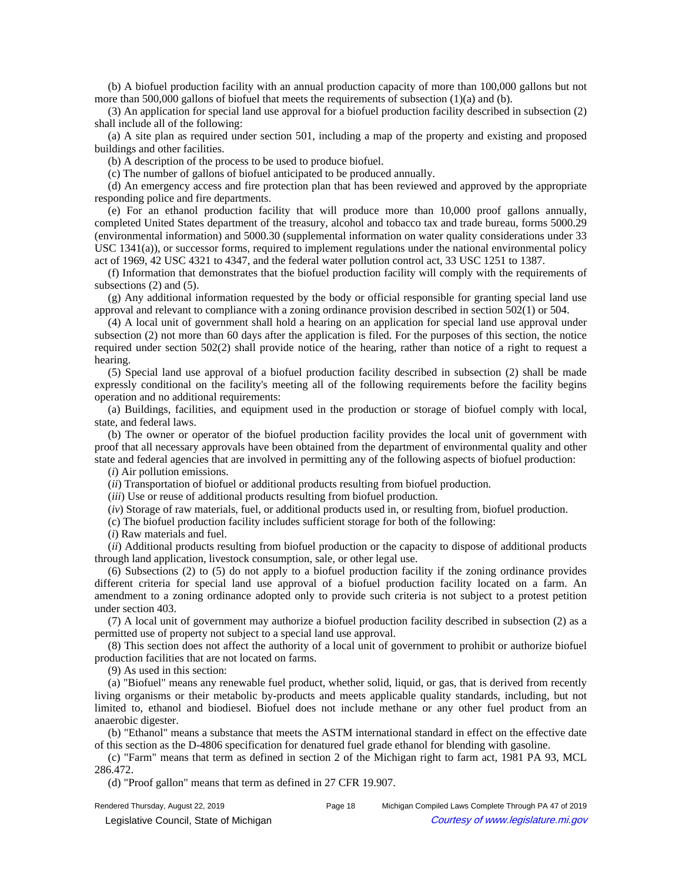(b) A biofuel production facility with an annual production capacity of more than 100,000 gallons but not more than 500,000 gallons of biofuel that meets the requirements of subsection  $(1)(a)$  and  $(b)$ .

(3) An application for special land use approval for a biofuel production facility described in subsection (2) shall include all of the following:

(a) A site plan as required under section 501, including a map of the property and existing and proposed buildings and other facilities.

(b) A description of the process to be used to produce biofuel.

(c) The number of gallons of biofuel anticipated to be produced annually.

(d) An emergency access and fire protection plan that has been reviewed and approved by the appropriate responding police and fire departments.

(e) For an ethanol production facility that will produce more than 10,000 proof gallons annually, completed United States department of the treasury, alcohol and tobacco tax and trade bureau, forms 5000.29 (environmental information) and 5000.30 (supplemental information on water quality considerations under 33 USC 1341(a)), or successor forms, required to implement regulations under the national environmental policy act of 1969, 42 USC 4321 to 4347, and the federal water pollution control act, 33 USC 1251 to 1387.

(f) Information that demonstrates that the biofuel production facility will comply with the requirements of subsections (2) and (5).

(g) Any additional information requested by the body or official responsible for granting special land use approval and relevant to compliance with a zoning ordinance provision described in section 502(1) or 504.

(4) A local unit of government shall hold a hearing on an application for special land use approval under subsection (2) not more than 60 days after the application is filed. For the purposes of this section, the notice required under section 502(2) shall provide notice of the hearing, rather than notice of a right to request a hearing.

(5) Special land use approval of a biofuel production facility described in subsection (2) shall be made expressly conditional on the facility's meeting all of the following requirements before the facility begins operation and no additional requirements:

(a) Buildings, facilities, and equipment used in the production or storage of biofuel comply with local, state, and federal laws.

(b) The owner or operator of the biofuel production facility provides the local unit of government with proof that all necessary approvals have been obtained from the department of environmental quality and other state and federal agencies that are involved in permitting any of the following aspects of biofuel production:

(*i*) Air pollution emissions.

(*ii*) Transportation of biofuel or additional products resulting from biofuel production.

(*iii*) Use or reuse of additional products resulting from biofuel production.

(*iv*) Storage of raw materials, fuel, or additional products used in, or resulting from, biofuel production.

(c) The biofuel production facility includes sufficient storage for both of the following:

(*i*) Raw materials and fuel.

(*ii*) Additional products resulting from biofuel production or the capacity to dispose of additional products through land application, livestock consumption, sale, or other legal use.

(6) Subsections (2) to (5) do not apply to a biofuel production facility if the zoning ordinance provides different criteria for special land use approval of a biofuel production facility located on a farm. An amendment to a zoning ordinance adopted only to provide such criteria is not subject to a protest petition under section 403.

(7) A local unit of government may authorize a biofuel production facility described in subsection (2) as a permitted use of property not subject to a special land use approval.

(8) This section does not affect the authority of a local unit of government to prohibit or authorize biofuel production facilities that are not located on farms.

(9) As used in this section:

(a) "Biofuel" means any renewable fuel product, whether solid, liquid, or gas, that is derived from recently living organisms or their metabolic by-products and meets applicable quality standards, including, but not limited to, ethanol and biodiesel. Biofuel does not include methane or any other fuel product from an anaerobic digester.

(b) "Ethanol" means a substance that meets the ASTM international standard in effect on the effective date of this section as the D-4806 specification for denatured fuel grade ethanol for blending with gasoline.

(c) "Farm" means that term as defined in section 2 of the Michigan right to farm act, 1981 PA 93, MCL 286.472.

(d) "Proof gallon" means that term as defined in 27 CFR 19.907.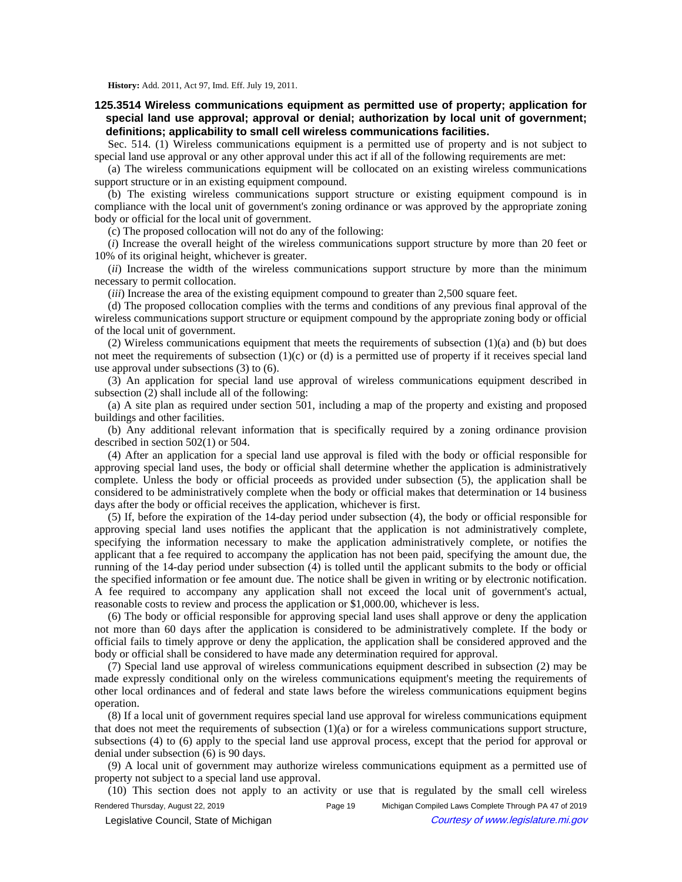**History:** Add. 2011, Act 97, Imd. Eff. July 19, 2011.

**125.3514 Wireless communications equipment as permitted use of property; application for special land use approval; approval or denial; authorization by local unit of government; definitions; applicability to small cell wireless communications facilities.**

Sec. 514. (1) Wireless communications equipment is a permitted use of property and is not subject to special land use approval or any other approval under this act if all of the following requirements are met:

(a) The wireless communications equipment will be collocated on an existing wireless communications support structure or in an existing equipment compound.

(b) The existing wireless communications support structure or existing equipment compound is in compliance with the local unit of government's zoning ordinance or was approved by the appropriate zoning body or official for the local unit of government.

(c) The proposed collocation will not do any of the following:

(*i*) Increase the overall height of the wireless communications support structure by more than 20 feet or 10% of its original height, whichever is greater.

(*ii*) Increase the width of the wireless communications support structure by more than the minimum necessary to permit collocation.

*(iii)* Increase the area of the existing equipment compound to greater than 2,500 square feet.

(d) The proposed collocation complies with the terms and conditions of any previous final approval of the wireless communications support structure or equipment compound by the appropriate zoning body or official of the local unit of government.

(2) Wireless communications equipment that meets the requirements of subsection (1)(a) and (b) but does not meet the requirements of subsection  $(1)(c)$  or  $(d)$  is a permitted use of property if it receives special land use approval under subsections (3) to (6).

(3) An application for special land use approval of wireless communications equipment described in subsection (2) shall include all of the following:

(a) A site plan as required under section 501, including a map of the property and existing and proposed buildings and other facilities.

(b) Any additional relevant information that is specifically required by a zoning ordinance provision described in section 502(1) or 504.

(4) After an application for a special land use approval is filed with the body or official responsible for approving special land uses, the body or official shall determine whether the application is administratively complete. Unless the body or official proceeds as provided under subsection (5), the application shall be considered to be administratively complete when the body or official makes that determination or 14 business days after the body or official receives the application, whichever is first.

(5) If, before the expiration of the 14-day period under subsection (4), the body or official responsible for approving special land uses notifies the applicant that the application is not administratively complete, specifying the information necessary to make the application administratively complete, or notifies the applicant that a fee required to accompany the application has not been paid, specifying the amount due, the running of the 14-day period under subsection (4) is tolled until the applicant submits to the body or official the specified information or fee amount due. The notice shall be given in writing or by electronic notification. A fee required to accompany any application shall not exceed the local unit of government's actual, reasonable costs to review and process the application or \$1,000.00, whichever is less.

(6) The body or official responsible for approving special land uses shall approve or deny the application not more than 60 days after the application is considered to be administratively complete. If the body or official fails to timely approve or deny the application, the application shall be considered approved and the body or official shall be considered to have made any determination required for approval.

(7) Special land use approval of wireless communications equipment described in subsection (2) may be made expressly conditional only on the wireless communications equipment's meeting the requirements of other local ordinances and of federal and state laws before the wireless communications equipment begins operation.

(8) If a local unit of government requires special land use approval for wireless communications equipment that does not meet the requirements of subsection  $(1)(a)$  or for a wireless communications support structure, subsections (4) to (6) apply to the special land use approval process, except that the period for approval or denial under subsection (6) is 90 days.

(9) A local unit of government may authorize wireless communications equipment as a permitted use of property not subject to a special land use approval.

(10) This section does not apply to an activity or use that is regulated by the small cell wireless Rendered Thursday, August 22, 2019 Page 19 Michigan Compiled Laws Complete Through PA 47 of 2019 Legislative Council, State of Michigan Courtesy of www.legislature.mi.gov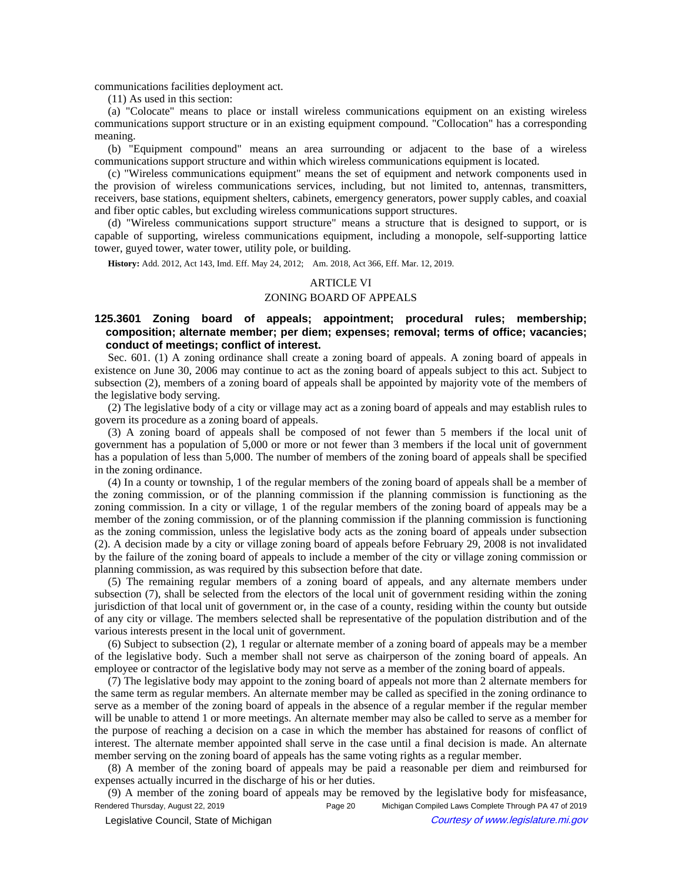communications facilities deployment act.

(11) As used in this section:

(a) "Colocate" means to place or install wireless communications equipment on an existing wireless communications support structure or in an existing equipment compound. "Collocation" has a corresponding meaning.

(b) "Equipment compound" means an area surrounding or adjacent to the base of a wireless communications support structure and within which wireless communications equipment is located.

(c) "Wireless communications equipment" means the set of equipment and network components used in the provision of wireless communications services, including, but not limited to, antennas, transmitters, receivers, base stations, equipment shelters, cabinets, emergency generators, power supply cables, and coaxial and fiber optic cables, but excluding wireless communications support structures.

(d) "Wireless communications support structure" means a structure that is designed to support, or is capable of supporting, wireless communications equipment, including a monopole, self-supporting lattice tower, guyed tower, water tower, utility pole, or building.

History: Add. 2012, Act 143, Imd. Eff. May 24, 2012;- Am. 2018, Act 366, Eff. Mar. 12, 2019.

### ARTICLE VI

# ZONING BOARD OF APPEALS

# **125.3601 Zoning board of appeals; appointment; procedural rules; membership; composition; alternate member; per diem; expenses; removal; terms of office; vacancies; conduct of meetings; conflict of interest.**

Sec. 601. (1) A zoning ordinance shall create a zoning board of appeals. A zoning board of appeals in existence on June 30, 2006 may continue to act as the zoning board of appeals subject to this act. Subject to subsection (2), members of a zoning board of appeals shall be appointed by majority vote of the members of the legislative body serving.

(2) The legislative body of a city or village may act as a zoning board of appeals and may establish rules to govern its procedure as a zoning board of appeals.

(3) A zoning board of appeals shall be composed of not fewer than 5 members if the local unit of government has a population of 5,000 or more or not fewer than 3 members if the local unit of government has a population of less than 5,000. The number of members of the zoning board of appeals shall be specified in the zoning ordinance.

(4) In a county or township, 1 of the regular members of the zoning board of appeals shall be a member of the zoning commission, or of the planning commission if the planning commission is functioning as the zoning commission. In a city or village, 1 of the regular members of the zoning board of appeals may be a member of the zoning commission, or of the planning commission if the planning commission is functioning as the zoning commission, unless the legislative body acts as the zoning board of appeals under subsection (2). A decision made by a city or village zoning board of appeals before February 29, 2008 is not invalidated by the failure of the zoning board of appeals to include a member of the city or village zoning commission or planning commission, as was required by this subsection before that date.

(5) The remaining regular members of a zoning board of appeals, and any alternate members under subsection (7), shall be selected from the electors of the local unit of government residing within the zoning jurisdiction of that local unit of government or, in the case of a county, residing within the county but outside of any city or village. The members selected shall be representative of the population distribution and of the various interests present in the local unit of government.

(6) Subject to subsection (2), 1 regular or alternate member of a zoning board of appeals may be a member of the legislative body. Such a member shall not serve as chairperson of the zoning board of appeals. An employee or contractor of the legislative body may not serve as a member of the zoning board of appeals.

(7) The legislative body may appoint to the zoning board of appeals not more than 2 alternate members for the same term as regular members. An alternate member may be called as specified in the zoning ordinance to serve as a member of the zoning board of appeals in the absence of a regular member if the regular member will be unable to attend 1 or more meetings. An alternate member may also be called to serve as a member for the purpose of reaching a decision on a case in which the member has abstained for reasons of conflict of interest. The alternate member appointed shall serve in the case until a final decision is made. An alternate member serving on the zoning board of appeals has the same voting rights as a regular member.

(8) A member of the zoning board of appeals may be paid a reasonable per diem and reimbursed for expenses actually incurred in the discharge of his or her duties.

(9) A member of the zoning board of appeals may be removed by the legislative body for misfeasance, Rendered Thursday, August 22, 2019 **Page 20** Michigan Compiled Laws Complete Through PA 47 of 2019 Legislative Council, State of Michigan Courtesy of www.legislature.mi.gov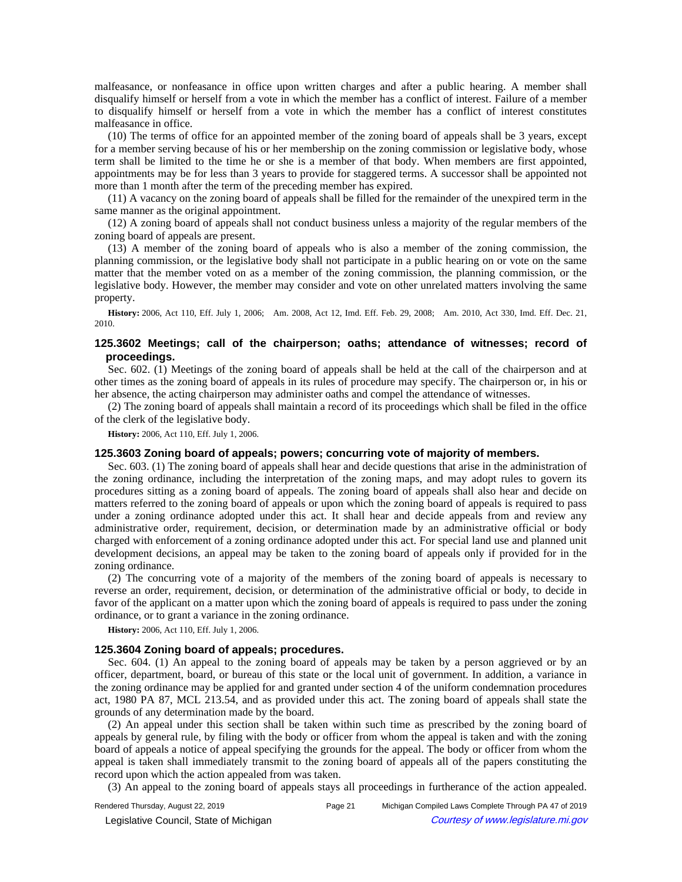malfeasance, or nonfeasance in office upon written charges and after a public hearing. A member shall disqualify himself or herself from a vote in which the member has a conflict of interest. Failure of a member to disqualify himself or herself from a vote in which the member has a conflict of interest constitutes malfeasance in office.

(10) The terms of office for an appointed member of the zoning board of appeals shall be 3 years, except for a member serving because of his or her membership on the zoning commission or legislative body, whose term shall be limited to the time he or she is a member of that body. When members are first appointed, appointments may be for less than 3 years to provide for staggered terms. A successor shall be appointed not more than 1 month after the term of the preceding member has expired.

(11) A vacancy on the zoning board of appeals shall be filled for the remainder of the unexpired term in the same manner as the original appointment.

(12) A zoning board of appeals shall not conduct business unless a majority of the regular members of the zoning board of appeals are present.

(13) A member of the zoning board of appeals who is also a member of the zoning commission, the planning commission, or the legislative body shall not participate in a public hearing on or vote on the same matter that the member voted on as a member of the zoning commission, the planning commission, or the legislative body. However, the member may consider and vote on other unrelated matters involving the same property.

History: 2006, Act 110, Eff. July 1, 2006;—Am. 2008, Act 12, Imd. Eff. Feb. 29, 2008;—Am. 2010, Act 330, Imd. Eff. Dec. 21, 2010.

## **125.3602 Meetings; call of the chairperson; oaths; attendance of witnesses; record of proceedings.**

Sec. 602. (1) Meetings of the zoning board of appeals shall be held at the call of the chairperson and at other times as the zoning board of appeals in its rules of procedure may specify. The chairperson or, in his or her absence, the acting chairperson may administer oaths and compel the attendance of witnesses.

(2) The zoning board of appeals shall maintain a record of its proceedings which shall be filed in the office of the clerk of the legislative body.

**History:** 2006, Act 110, Eff. July 1, 2006.

## **125.3603 Zoning board of appeals; powers; concurring vote of majority of members.**

Sec. 603. (1) The zoning board of appeals shall hear and decide questions that arise in the administration of the zoning ordinance, including the interpretation of the zoning maps, and may adopt rules to govern its procedures sitting as a zoning board of appeals. The zoning board of appeals shall also hear and decide on matters referred to the zoning board of appeals or upon which the zoning board of appeals is required to pass under a zoning ordinance adopted under this act. It shall hear and decide appeals from and review any administrative order, requirement, decision, or determination made by an administrative official or body charged with enforcement of a zoning ordinance adopted under this act. For special land use and planned unit development decisions, an appeal may be taken to the zoning board of appeals only if provided for in the zoning ordinance.

(2) The concurring vote of a majority of the members of the zoning board of appeals is necessary to reverse an order, requirement, decision, or determination of the administrative official or body, to decide in favor of the applicant on a matter upon which the zoning board of appeals is required to pass under the zoning ordinance, or to grant a variance in the zoning ordinance.

**History:** 2006, Act 110, Eff. July 1, 2006.

# **125.3604 Zoning board of appeals; procedures.**

Sec. 604. (1) An appeal to the zoning board of appeals may be taken by a person aggrieved or by an officer, department, board, or bureau of this state or the local unit of government. In addition, a variance in the zoning ordinance may be applied for and granted under section 4 of the uniform condemnation procedures act, 1980 PA 87, MCL 213.54, and as provided under this act. The zoning board of appeals shall state the grounds of any determination made by the board.

(2) An appeal under this section shall be taken within such time as prescribed by the zoning board of appeals by general rule, by filing with the body or officer from whom the appeal is taken and with the zoning board of appeals a notice of appeal specifying the grounds for the appeal. The body or officer from whom the appeal is taken shall immediately transmit to the zoning board of appeals all of the papers constituting the record upon which the action appealed from was taken.

(3) An appeal to the zoning board of appeals stays all proceedings in furtherance of the action appealed.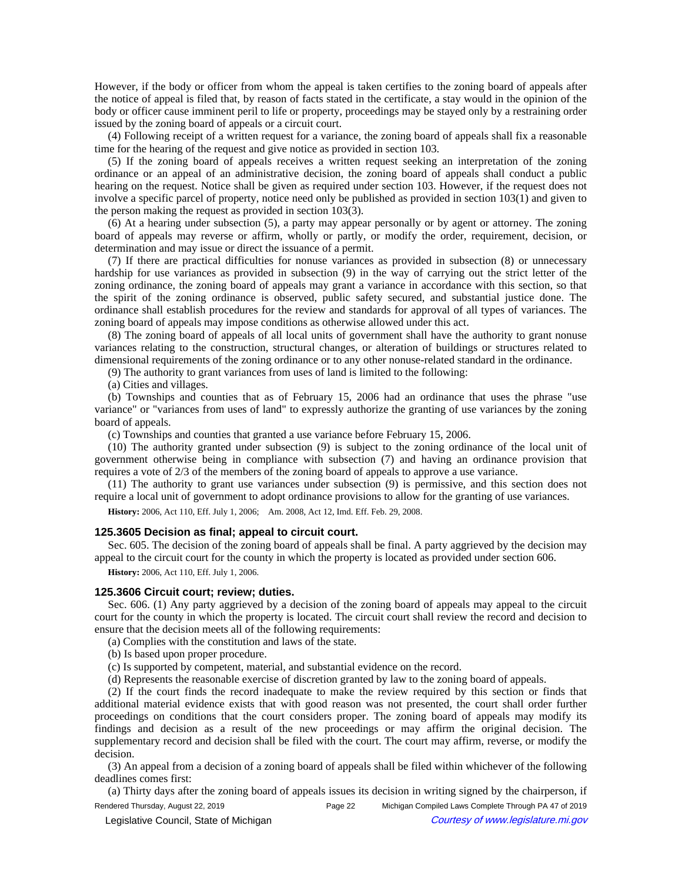However, if the body or officer from whom the appeal is taken certifies to the zoning board of appeals after the notice of appeal is filed that, by reason of facts stated in the certificate, a stay would in the opinion of the body or officer cause imminent peril to life or property, proceedings may be stayed only by a restraining order issued by the zoning board of appeals or a circuit court.

(4) Following receipt of a written request for a variance, the zoning board of appeals shall fix a reasonable time for the hearing of the request and give notice as provided in section 103.

(5) If the zoning board of appeals receives a written request seeking an interpretation of the zoning ordinance or an appeal of an administrative decision, the zoning board of appeals shall conduct a public hearing on the request. Notice shall be given as required under section 103. However, if the request does not involve a specific parcel of property, notice need only be published as provided in section 103(1) and given to the person making the request as provided in section 103(3).

(6) At a hearing under subsection (5), a party may appear personally or by agent or attorney. The zoning board of appeals may reverse or affirm, wholly or partly, or modify the order, requirement, decision, or determination and may issue or direct the issuance of a permit.

(7) If there are practical difficulties for nonuse variances as provided in subsection (8) or unnecessary hardship for use variances as provided in subsection (9) in the way of carrying out the strict letter of the zoning ordinance, the zoning board of appeals may grant a variance in accordance with this section, so that the spirit of the zoning ordinance is observed, public safety secured, and substantial justice done. The ordinance shall establish procedures for the review and standards for approval of all types of variances. The zoning board of appeals may impose conditions as otherwise allowed under this act.

(8) The zoning board of appeals of all local units of government shall have the authority to grant nonuse variances relating to the construction, structural changes, or alteration of buildings or structures related to dimensional requirements of the zoning ordinance or to any other nonuse-related standard in the ordinance.

(9) The authority to grant variances from uses of land is limited to the following:

(a) Cities and villages.

(b) Townships and counties that as of February 15, 2006 had an ordinance that uses the phrase "use variance" or "variances from uses of land" to expressly authorize the granting of use variances by the zoning board of appeals.

(c) Townships and counties that granted a use variance before February 15, 2006.

(10) The authority granted under subsection (9) is subject to the zoning ordinance of the local unit of government otherwise being in compliance with subsection (7) and having an ordinance provision that requires a vote of 2/3 of the members of the zoning board of appeals to approve a use variance.

(11) The authority to grant use variances under subsection (9) is permissive, and this section does not require a local unit of government to adopt ordinance provisions to allow for the granting of use variances.

History: 2006, Act 110, Eff. July 1, 2006;- Am. 2008, Act 12, Imd. Eff. Feb. 29, 2008.

## **125.3605 Decision as final; appeal to circuit court.**

Sec. 605. The decision of the zoning board of appeals shall be final. A party aggrieved by the decision may appeal to the circuit court for the county in which the property is located as provided under section 606.

**History:** 2006, Act 110, Eff. July 1, 2006.

### **125.3606 Circuit court; review; duties.**

Sec. 606. (1) Any party aggrieved by a decision of the zoning board of appeals may appeal to the circuit court for the county in which the property is located. The circuit court shall review the record and decision to ensure that the decision meets all of the following requirements:

(a) Complies with the constitution and laws of the state.

- (b) Is based upon proper procedure.
- (c) Is supported by competent, material, and substantial evidence on the record.
- (d) Represents the reasonable exercise of discretion granted by law to the zoning board of appeals.

(2) If the court finds the record inadequate to make the review required by this section or finds that additional material evidence exists that with good reason was not presented, the court shall order further proceedings on conditions that the court considers proper. The zoning board of appeals may modify its findings and decision as a result of the new proceedings or may affirm the original decision. The supplementary record and decision shall be filed with the court. The court may affirm, reverse, or modify the decision.

(3) An appeal from a decision of a zoning board of appeals shall be filed within whichever of the following deadlines comes first:

(a) Thirty days after the zoning board of appeals issues its decision in writing signed by the chairperson, if

Rendered Thursday, August 22, 2019 Page 22 Michigan Compiled Laws Complete Through PA 47 of 2019 © Legislative Council, State of Michigan Council Courtesy of www.legislature.mi.gov